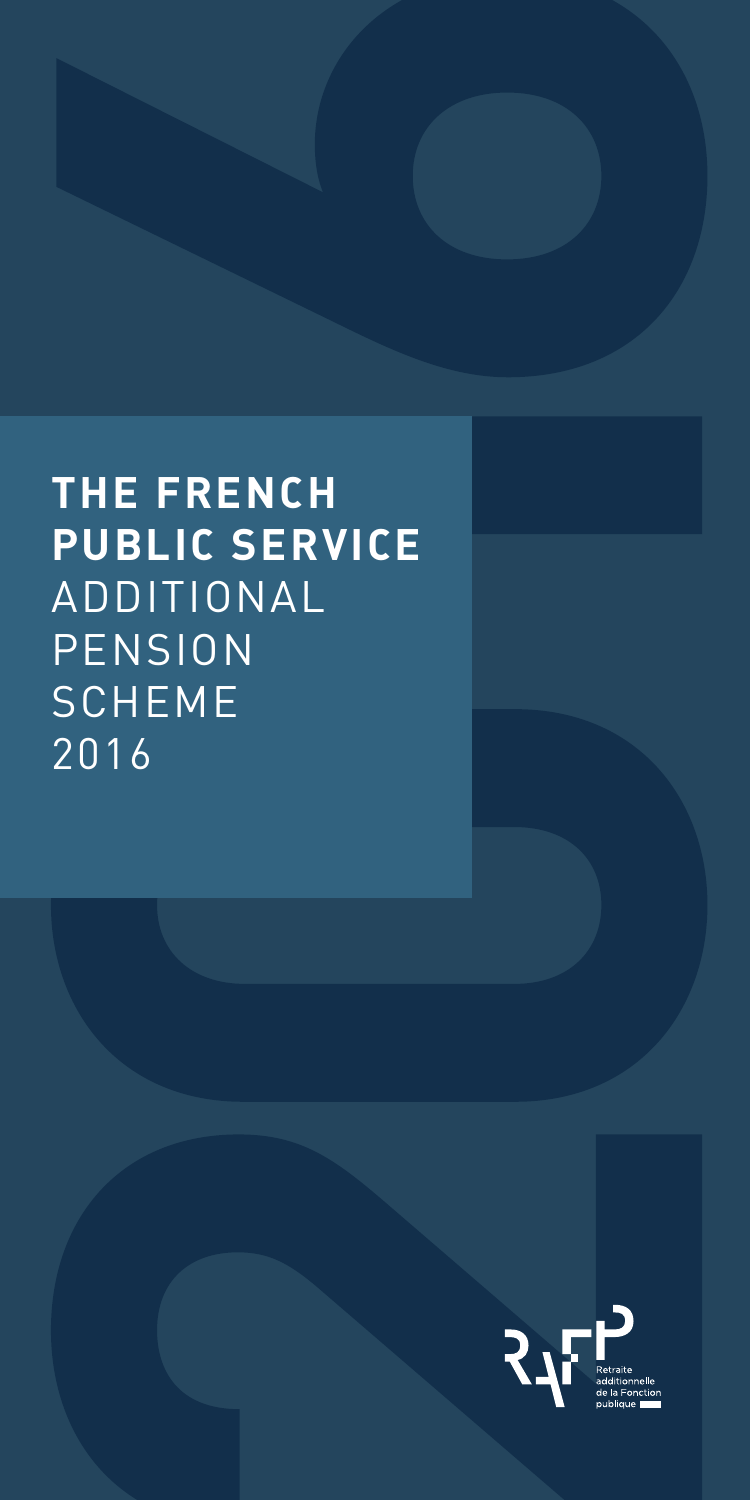

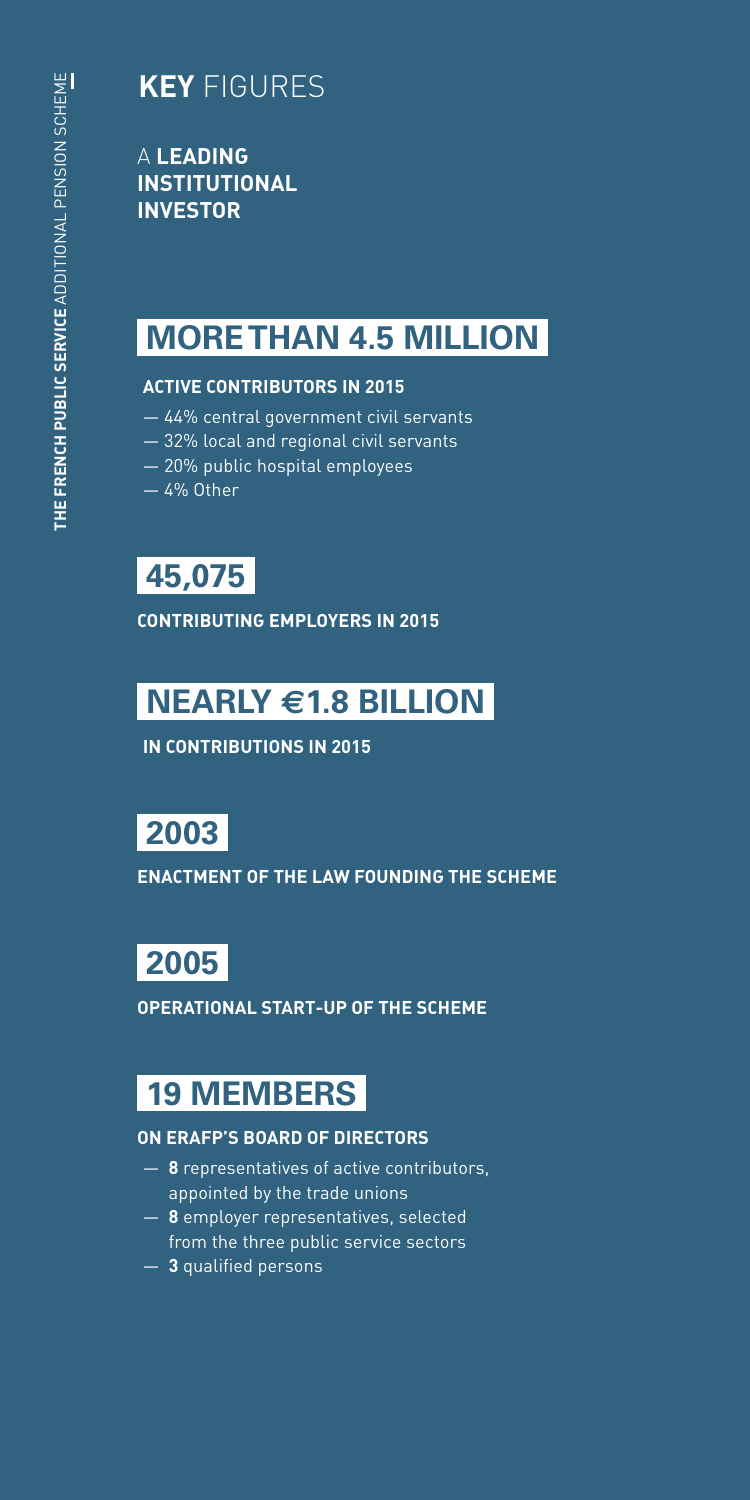## **KEY** FIGURES

 PRÉAMBULE A **LEADING INSTITUTIONAL INVESTOR**

## **MORE THAN 4.5 MILLION**

#### **ACTIVE CONTRIBUTORS IN 2015**

- 44% central government civil servants
- 32% local and regional civil servants
- 20% public hospital employees
- 4% Other

## **45,075**

**CONTRIBUTING EMPLOYERS IN 2015**

## **NEARLY €1.8 BILLION**

**IN CONTRIBUTIONS IN 2015**

## **2003**

**ENACTMENT OF THE LAW FOUNDING THE SCHEME**

## **2005**

**OPERATIONAL START-UP OF THE SCHEME**

## **19 MEMBERS**

#### **ON ERAFP'S BOARD OF DIRECTORS**

- **8** representatives of active contributors, appointed by the trade unions
- **8** employer representatives, selected from the three public service sectors
- **3** qualified persons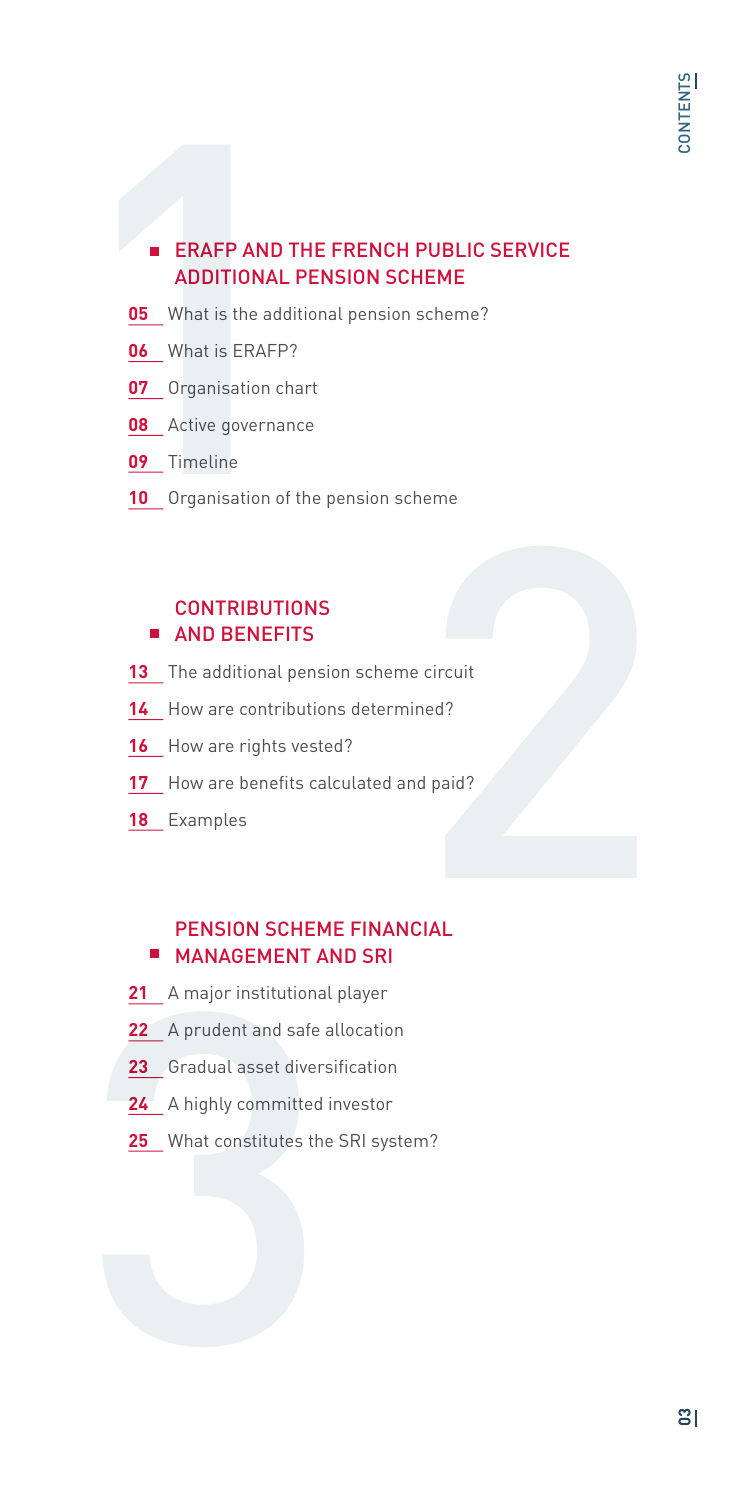# **ERAFP AND TH<br>ADDITIONAL PI<br>05** What is the additional<br>06 What is ERAFP?<br>07 Organisation char<br>08 Active governance<br>09 Timeline<br>10 Organisation of th **ERAFP AND THE FRENCH PUBLIC SERVICE** ADDITIONAL PENSION SCHEME

- **05** What is the additional pension scheme?
- **06** What is ERAFP?
- **07** Organisation chart
- **08** Active governance
- **09** Timeline
- **10** Organisation of the pension scheme

#### **CONTRIBUTIONS AND BENEFITS**

- **13** The additional pension scheme circuit
- 14 How are contributions determined?
- 16 How are rights vested?
- 17 How are benefits calculated and paid?
- **18** Examples

# France<br>
Particult<br>
Red ?<br>
Particular diparticular and ?<br>
Particular diparticular and ?<br>
Particular diparticular and ?<br>
Particular diparticular and ?<br>
Particular diparticular and ?<br>
Particular diparticular and ?<br>
Particular PENSION SCHEME FINANCIAL **MANAGEMENT AND SRI**

- **21** A major institutional player
- **22** A prudent and safe allocation
- **23** Gradual asset diversification
- 21 A major institutional<br>22 A prudent and safe a<br>23 Gradual asset divers<br>24 A highly committed<br>25 What constitutes the **24** A highly committed investor
	- **25** What constitutes the SRI system?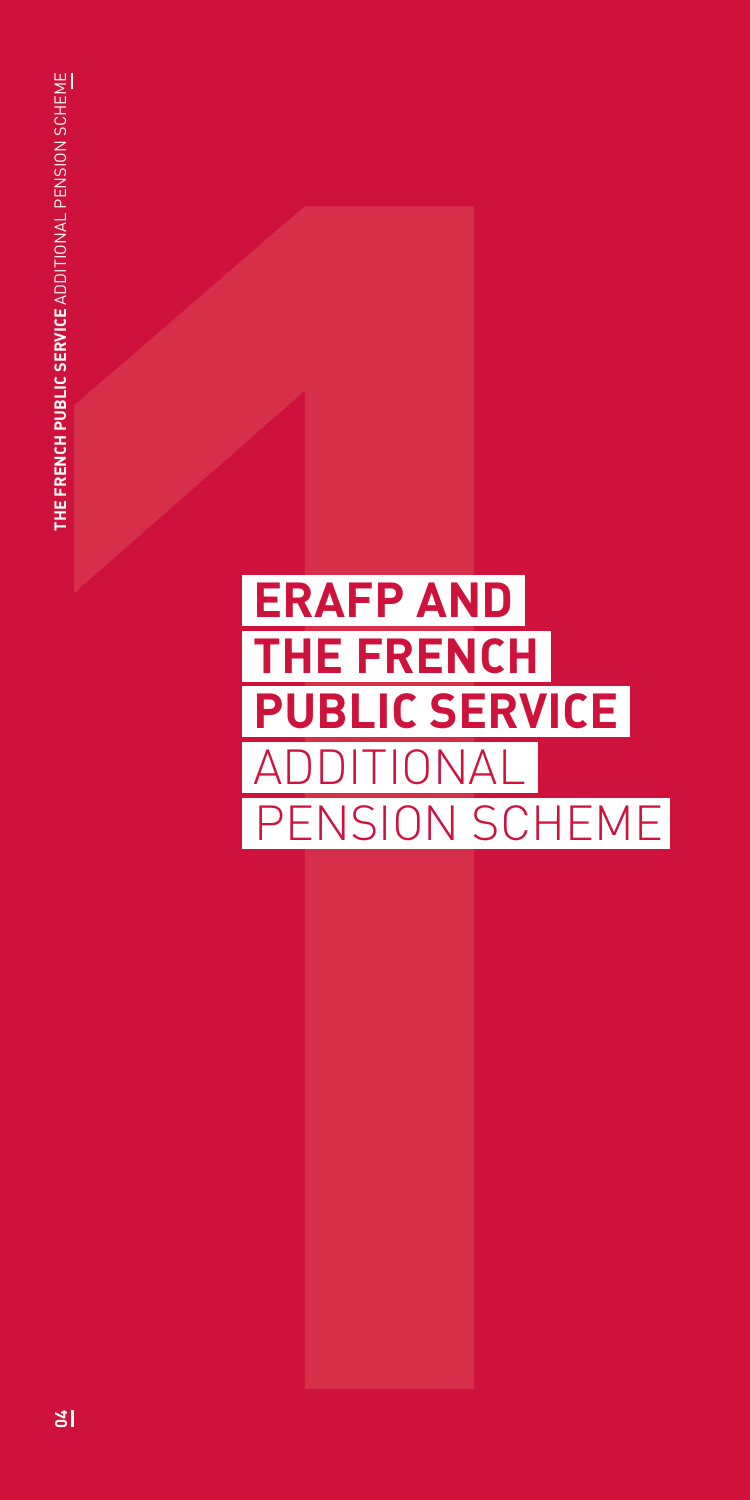## **ERAFP AND THE FRENCH PUBLIC SERVICE**  ITIONAL PENSION SCHEME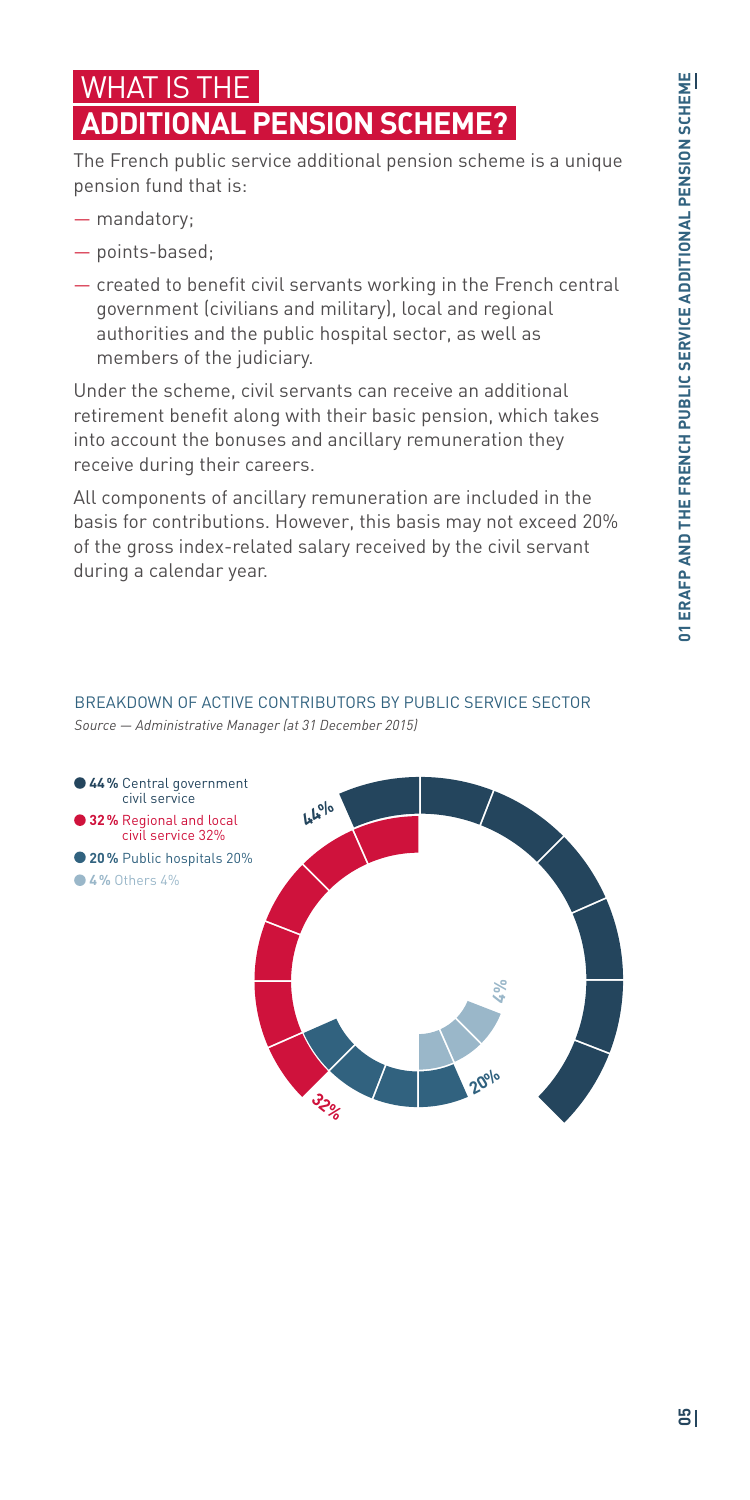## WHAT IS THE **ADDITIONAL PENSION SCHEME?**

The French public service additional pension scheme is a unique pension fund that is:

- mandatory;
- points-based;
- created to benefit civil servants working in the French central government (civilians and military), local and regional authorities and the public hospital sector, as well as members of the judiciary.

Under the scheme, civil servants can receive an additional retirement benefit along with their basic pension, which takes into account the bonuses and ancillary remuneration they receive during their careers.

All components of ancillary remuneration are included in the basis for contributions. However, this basis may not exceed 20% of the gross index-related salary received by the civil servant during a calendar year.

#### BREAKDOWN OF ACTIVE CONTRIBUTORS BY PUBLIC SERVICE SECTOR

*Source — Administrative Manager (at 31 December 2015)*

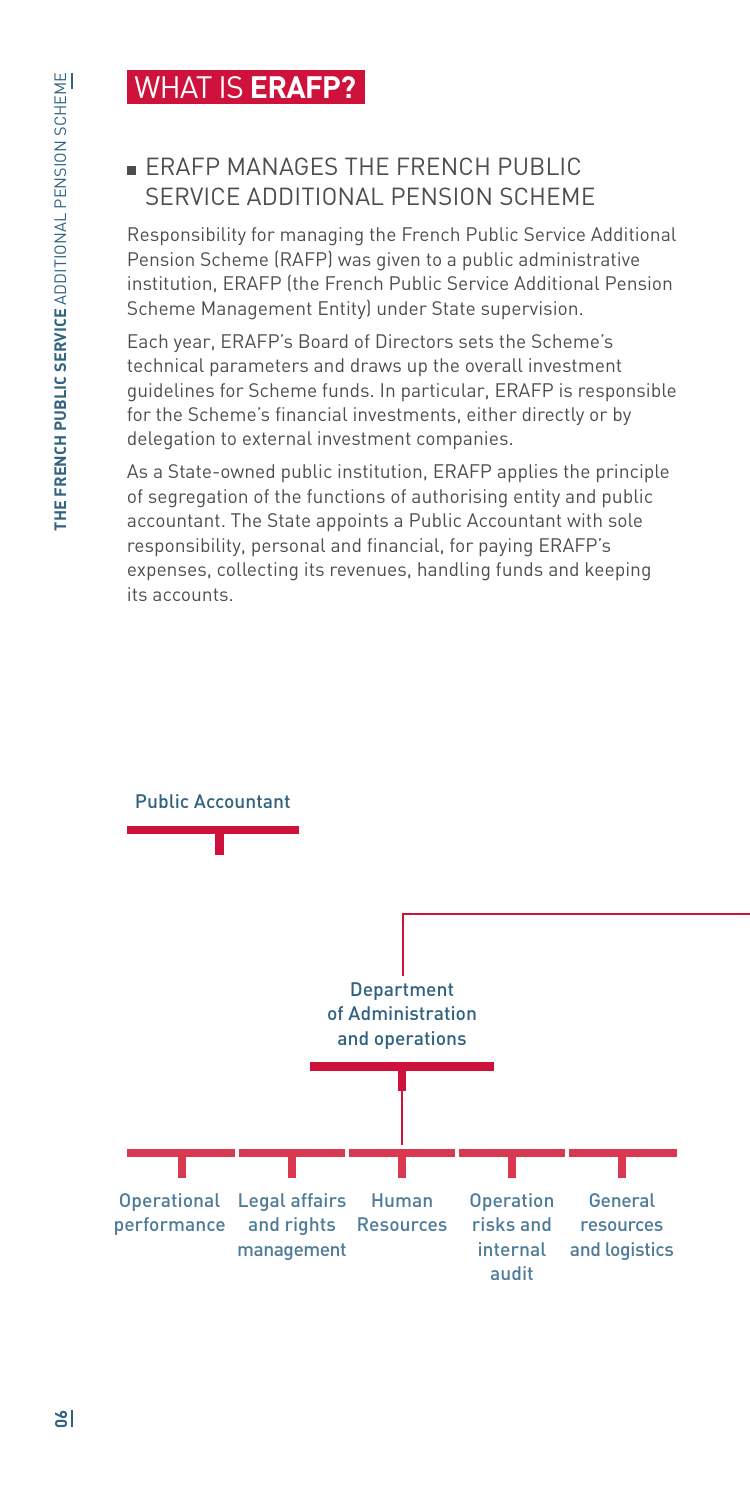## WHAT IS **ERAFP?**

#### **ERAFP MANAGES THE FRENCH PUBLIC** SERVICE ADDITIONAL PENSION SCHEME

Responsibility for managing the French Public Service Additional Pension Scheme (RAFP) was given to a public administrative institution, ERAFP (the French Public Service Additional Pension Scheme Management Entity) under State supervision.

Each year, ERAFP's Board of Directors sets the Scheme's technical parameters and draws up the overall investment guidelines for Scheme funds. In particular, ERAFP is responsible for the Scheme's financial investments, either directly or by delegation to external investment companies.

As a State-owned public institution, ERAFP applies the principle of segregation of the functions of authorising entity and public accountant. The State appoints a Public Accountant with sole responsibility, personal and financial, for paying ERAFP's expenses, collecting its revenues, handling funds and keeping its accounts.

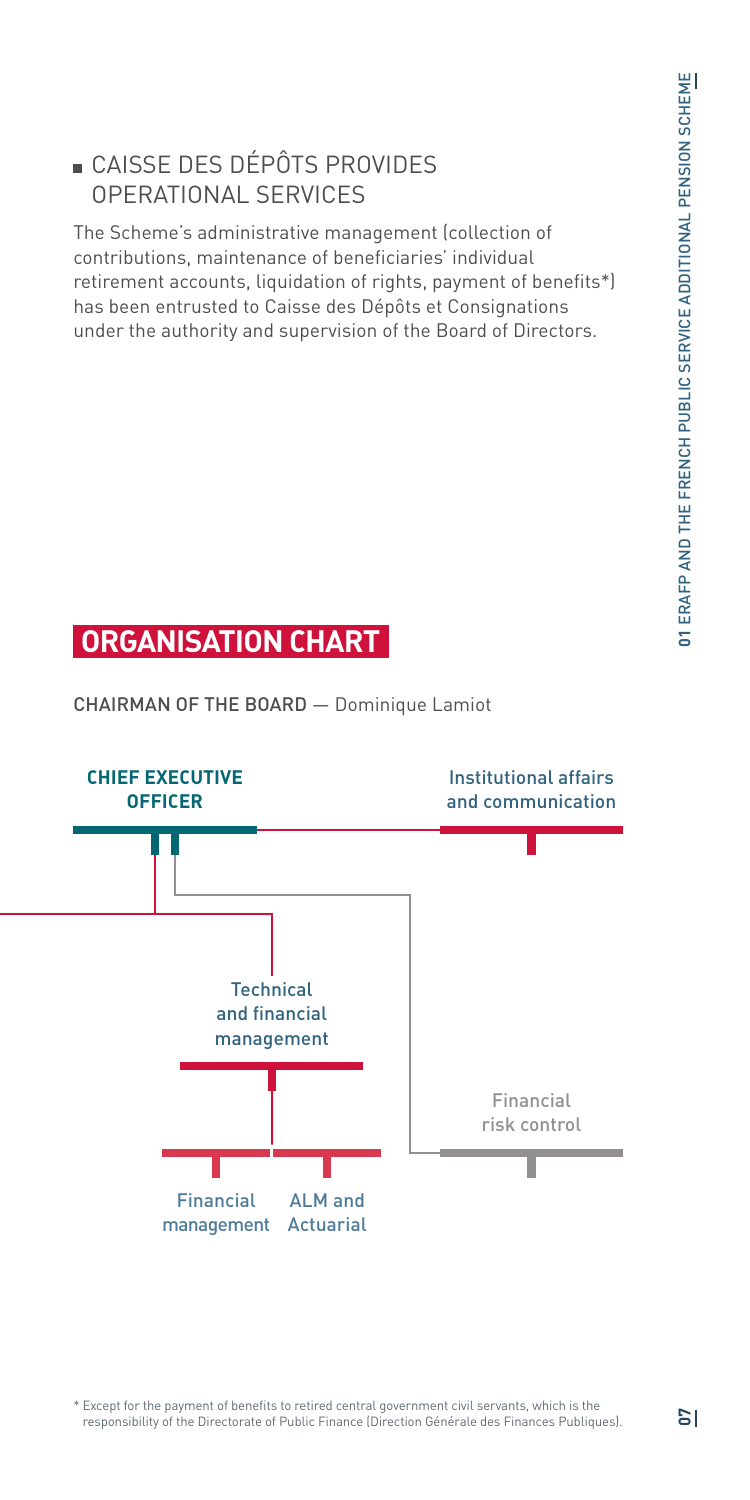## CAISSE DES DÉPÔTS PROVIDES OPERATIONAL SERVICES

The Scheme's administrative management (collection of contributions, maintenance of beneficiaries' individual retirement accounts, liquidation of rights, payment of benefits\*) has been entrusted to Caisse des Dépôts et Consignations under the authority and supervision of the Board of Directors.

## **ORGANISATION CHART**

CHAIRMAN OF THE BOARD — Dominique Lamiot



\* Except for the payment of benefits to retired central government civil servants, which is the responsibility of the Directorate of Public Finance (Direction Générale des Finances Publiques).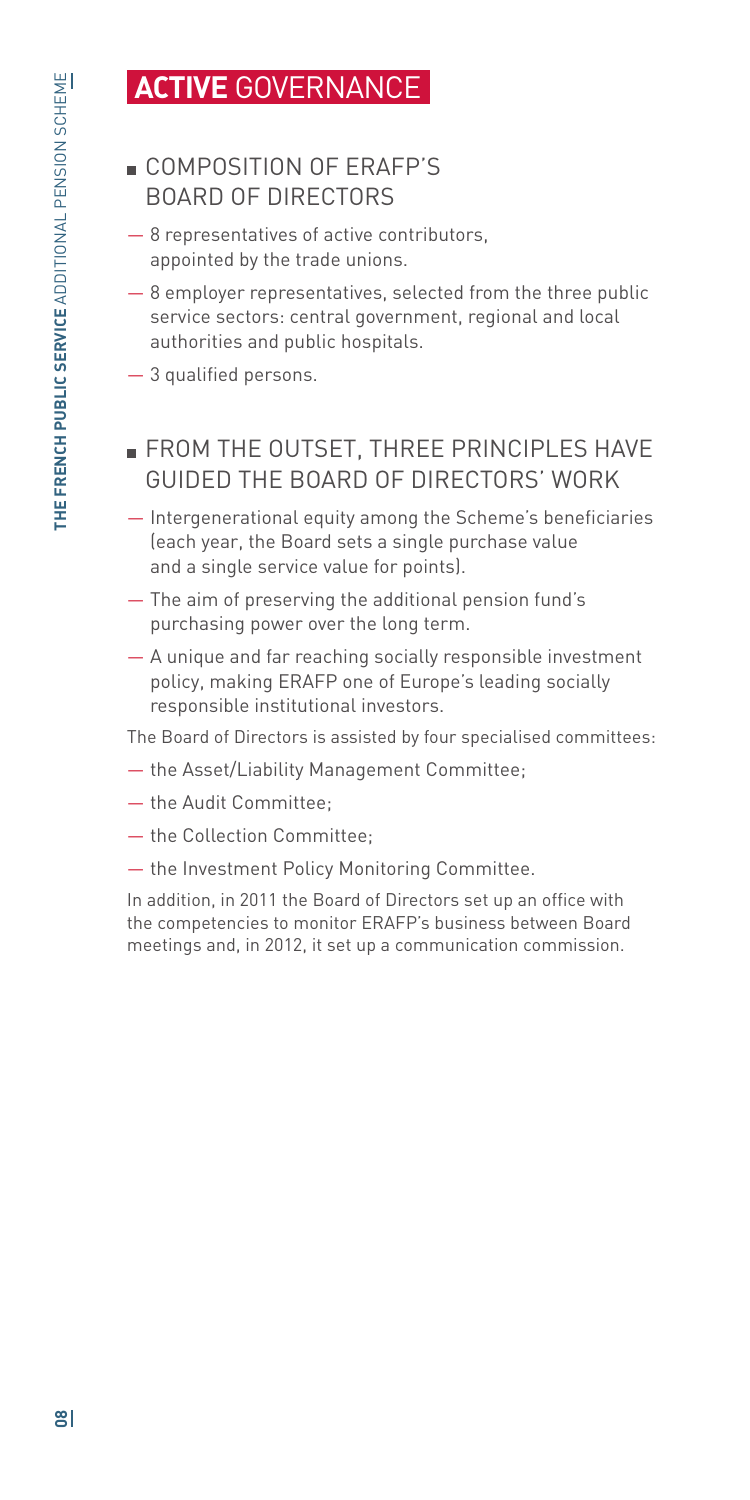## **ACTIVE** GOVERNANCE

## COMPOSITION OF ERAFP'S BOARD OF DIRECTORS

- 8 representatives of active contributors, appointed by the trade unions.
- 8 employer representatives, selected from the three public service sectors: central government, regional and local authorities and public hospitals.
- 3 qualified persons.

## **FROM THE OUTSET, THREE PRINCIPLES HAVE** GUIDED THE BOARD OF DIRECTORS' WORK

- Intergenerational equity among the Scheme's beneficiaries (each year, the Board sets a single purchase value and a single service value for points).
- The aim of preserving the additional pension fund's purchasing power over the long term.
- A unique and far reaching socially responsible investment policy, making ERAFP one of Europe's leading socially responsible institutional investors.

The Board of Directors is assisted by four specialised committees:

- the Asset/Liability Management Committee;
- the Audit Committee;
- the Collection Committee;
- the Investment Policy Monitoring Committee.

In addition, in 2011 the Board of Directors set up an office with the competencies to monitor ERAFP's business between Board meetings and, in 2012, it set up a communication commission.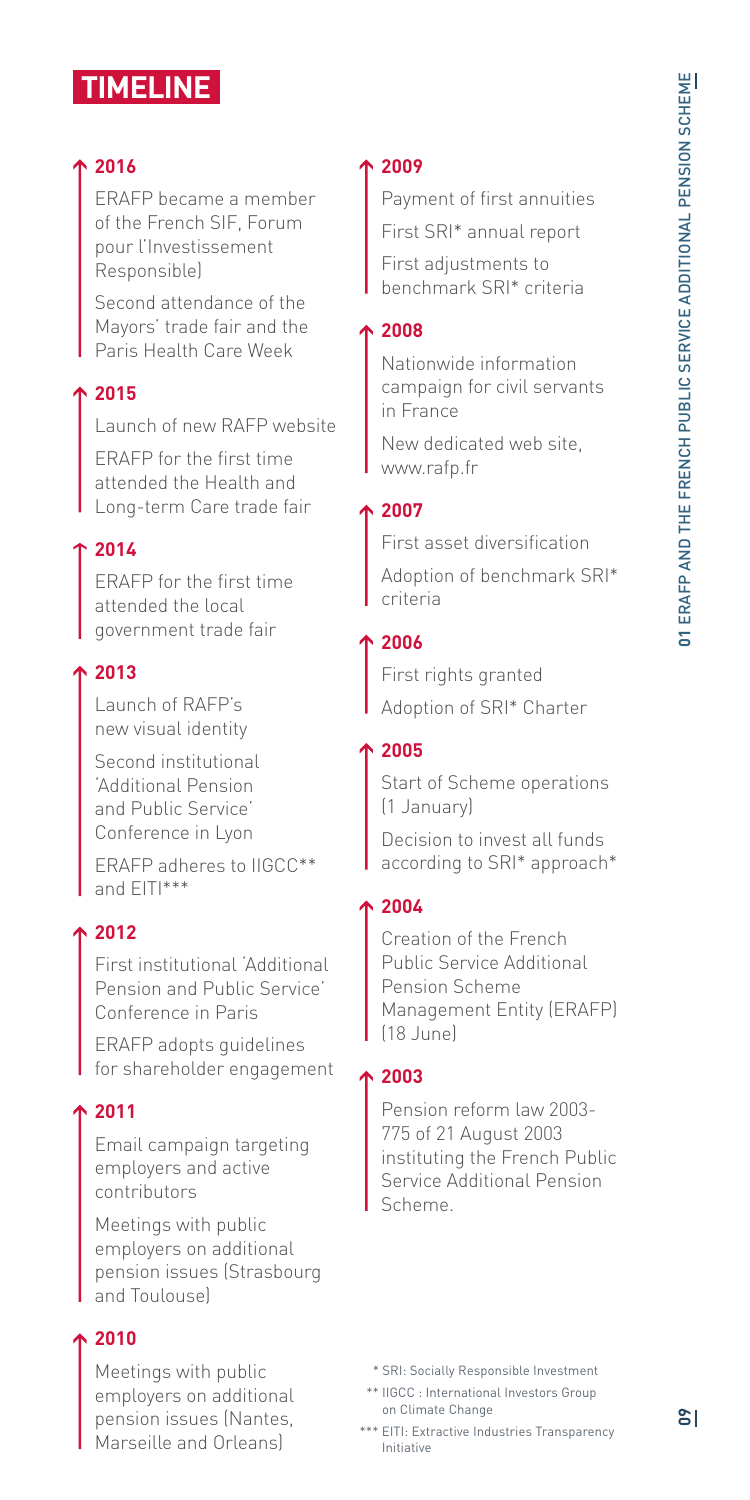## **TIMELINE**

#### **2016**

ERAFP became a member of the French SIF, Forum pour l'Investissement Responsible)

Second attendance of the Mayors' trade fair and the Paris Health Care Week

#### **2015**

Launch of new RAFP website

ERAFP for the first time attended the Health and Long-term Care trade fair

#### **2014**

ERAFP for the first time attended the local government trade fair

#### **2013**

Launch of RAFP's new visual identity

Second institutional 'Additional Pension and Public Service' Conference in Lyon

ERAFP adheres to IIGCC\*\* and EITI\*\*\*

#### **2012**

First institutional 'Additional Pension and Public Service' Conference in Paris

ERAFP adopts guidelines for shareholder engagement

#### **2011**

Email campaign targeting employers and active contributors

Meetings with public employers on additional pension issues (Strasbourg and Toulouse)

#### **2010**

Meetings with public employers on additional pension issues (Nantes, Marseille and Orleans)

#### **2009**

Payment of first annuities First SRI\* annual report First adjustments to benchmark SRI\* criteria

#### **2008**

Nationwide information campaign for civil servants in France

New dedicated web site, www.rafp.fr

#### **2007**

First asset diversification

Adoption of benchmark SRI\* criteria

#### **2006**

First rights granted Adoption of SRI\* Charter

#### **2005**

Start of Scheme operations (1 January)

Decision to invest all funds according to SRI\* approach\*

#### **2004**

Creation of the French Public Service Additional Pension Scheme Management Entity (ERAFP) (18 June)

#### **2003**

Pension reform law 2003- 775 of 21 August 2003 instituting the French Public Service Additional Pension Scheme.

- \* SRI: Socially Responsible Investment
- \*\* IIGCC : International Investors Group on Climate Change
- \*\*\* EITI: Extractive Industries Transparency Initiative

န္စု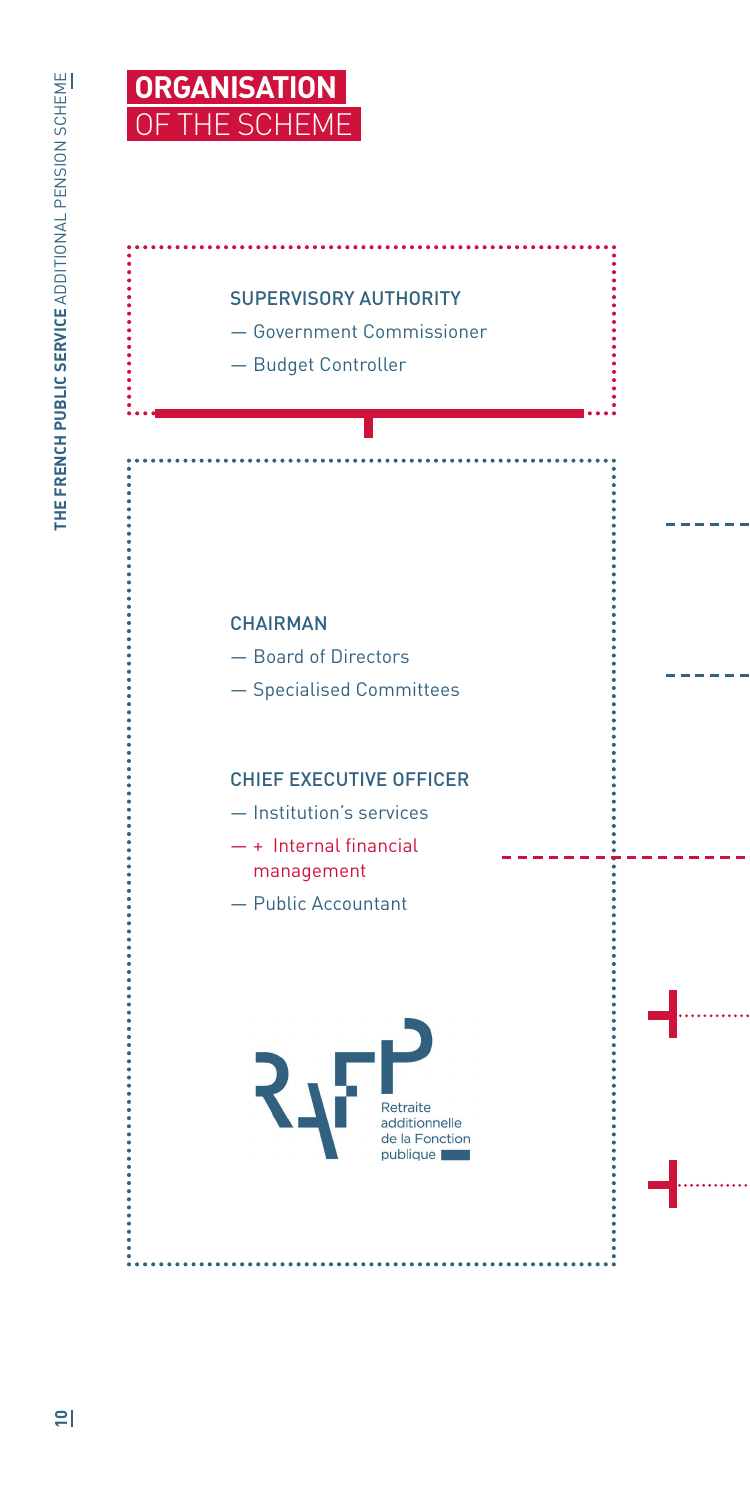................



#### SUPERVISORY AUTHORITY

— Government Commissioner

— Budget Controller

#### **CHAIRMAN**

- Board of Directors
- Specialised Committees

#### CHIEF EXECUTIVE OFFICER

- Institution's services
- + Internal financial management
- Public Accountant

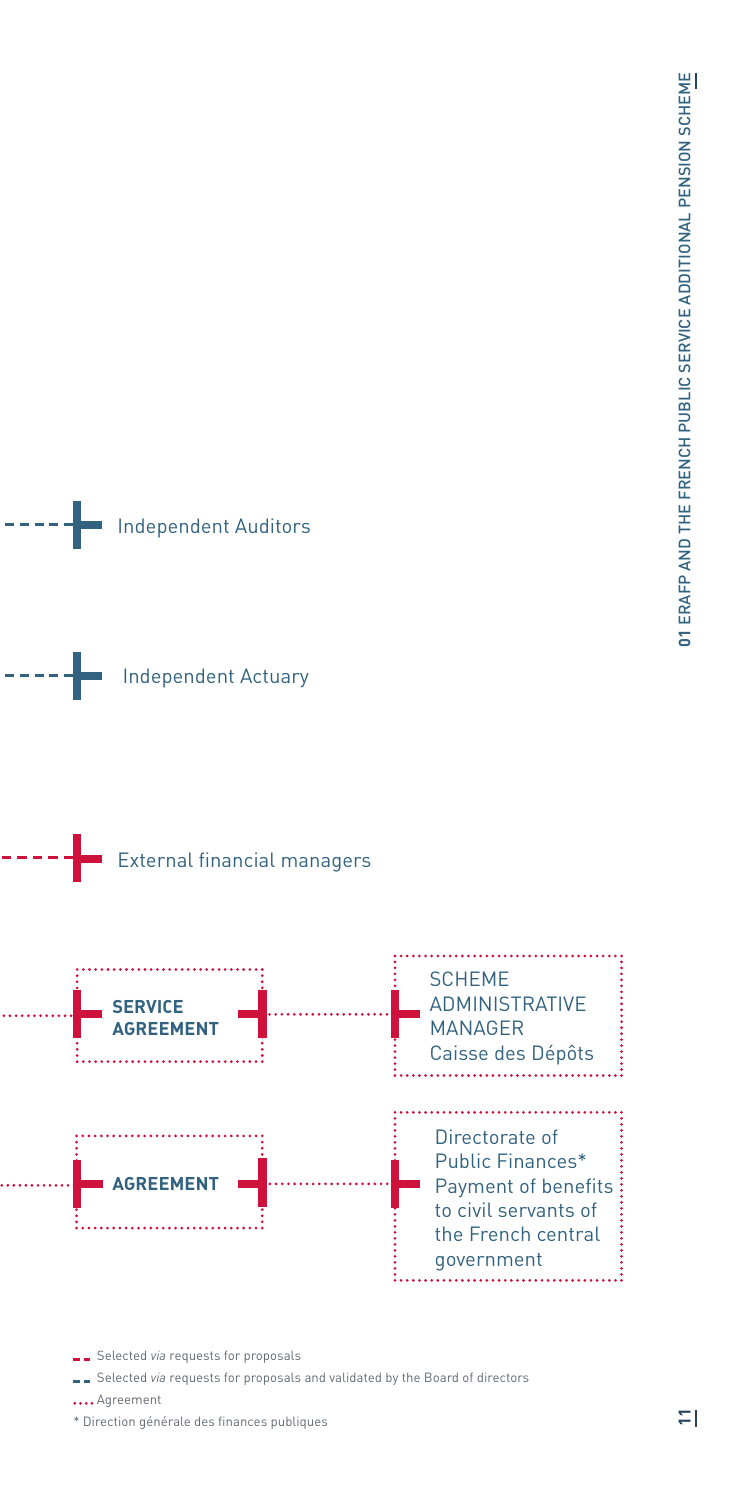







Selected *via* requests for proposals

Selected *via* requests for proposals and validated by the Board of directors

.... Agreement

\* Direction générale des finances publiques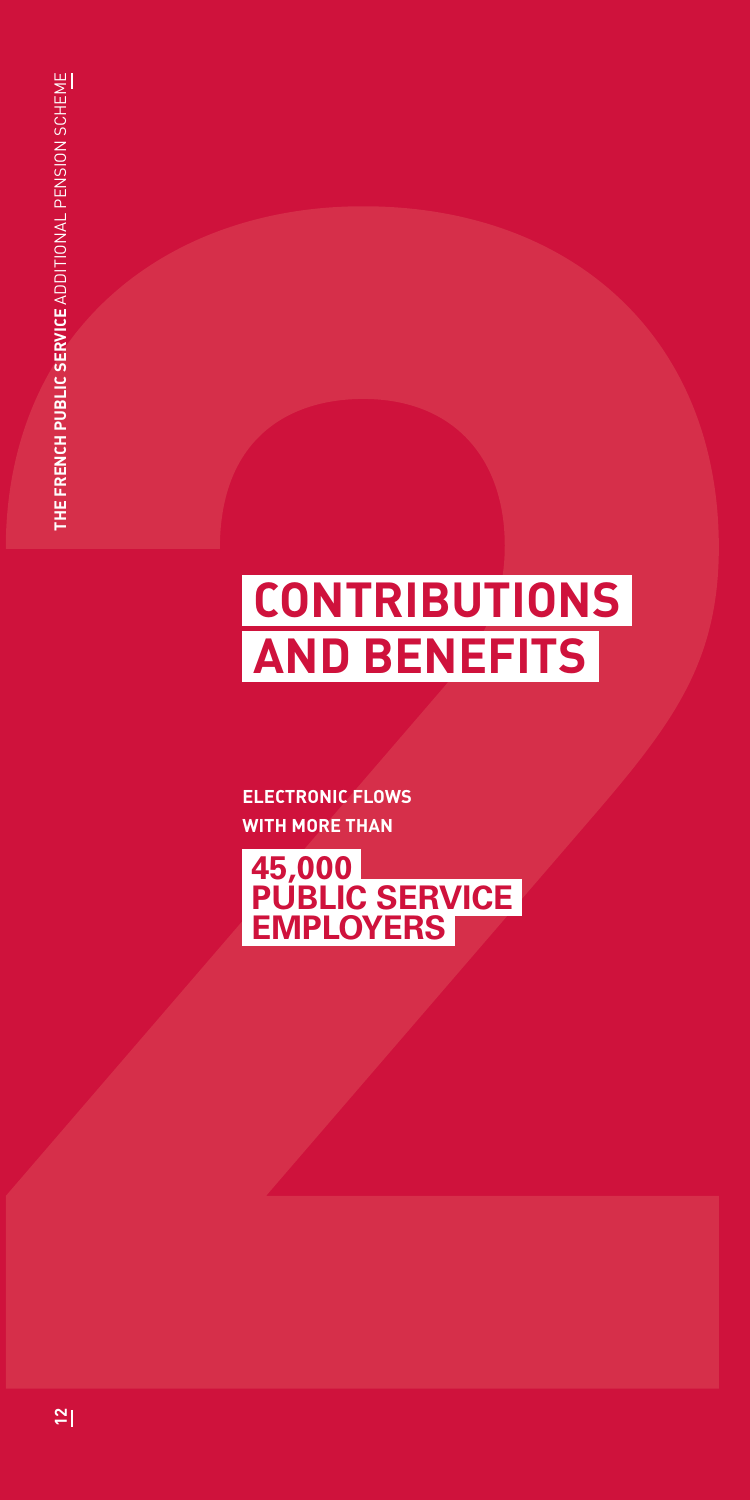# **CONTRIBUTIONS AND BENEFITS**

**ELECTRONIC FLOWS WITH MORE THAN**

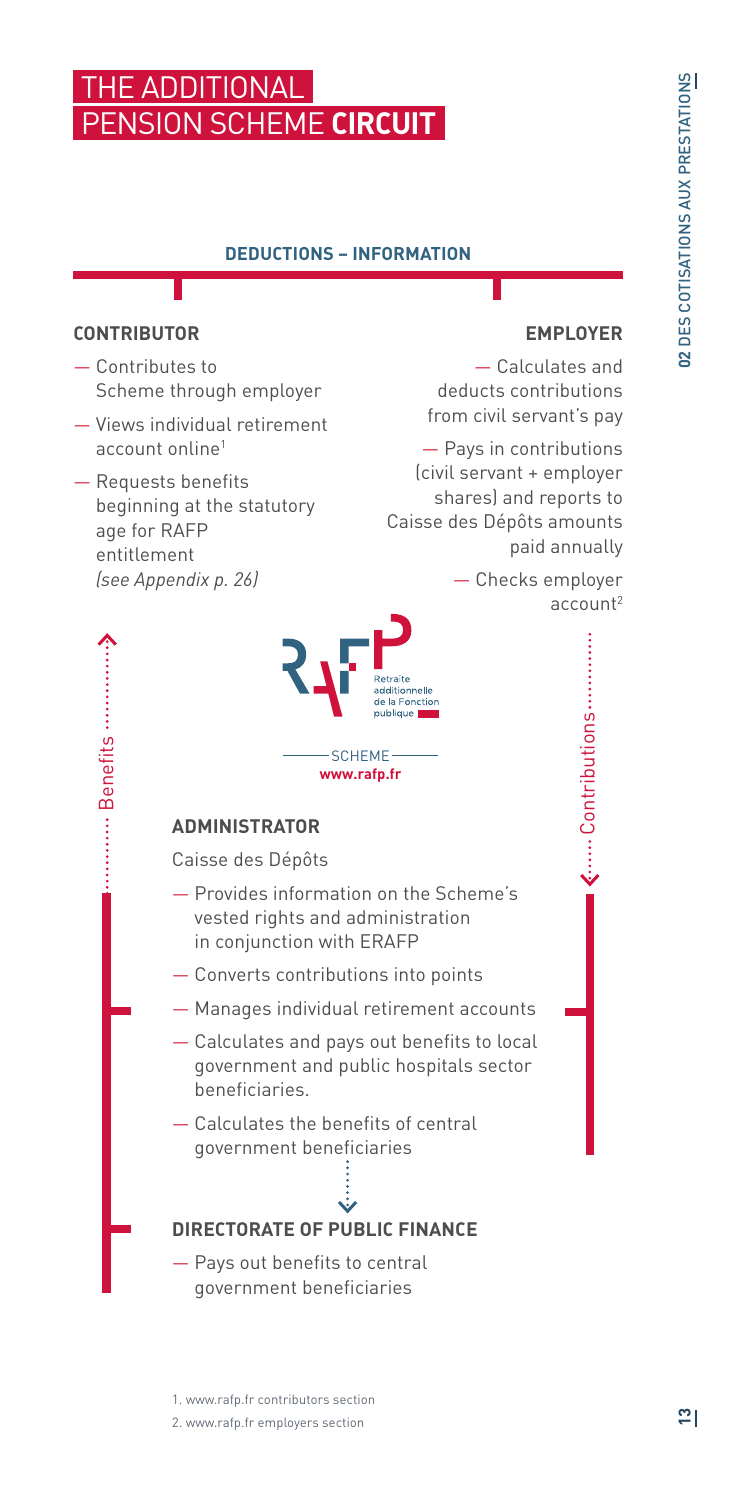## **THE ADDITIONAL** PENSION SCHEME **CIRCUIT**

#### **DEDUCTIONS – INFORMATION**

#### **CONTRIBUTOR**

Benefits

- Contributes to Scheme through employer
- Views individual retirement account online1
- Requests benefits beginning at the statutory age for RAFP entitlement *(see Appendix p. 26)*

#### **EMPLOYER**

— Calculates and deducts contributions from civil servant's pay

— Pays in contributions (civil servant + employer shares) and reports to Caisse des Dépôts amounts paid annually

> — Checks employer account2

> > Contributions

<...... Contributions ..............



#### **ADMINISTRATOR**

Caisse des Dépôts

- Provides information on the Scheme's vested rights and administration in conjunction with ERAFP
- Converts contributions into points
- Manages individual retirement accounts
- Calculates and pays out benefits to local government and public hospitals sector beneficiaries.
- Calculates the benefits of central government beneficiaries

#### **DIRECTORATE OF PUBLIC FINANCE**

— Pays out benefits to central government beneficiaries

#### 1. www.rafp.fr contributors section

2. www.rafp.fr employers section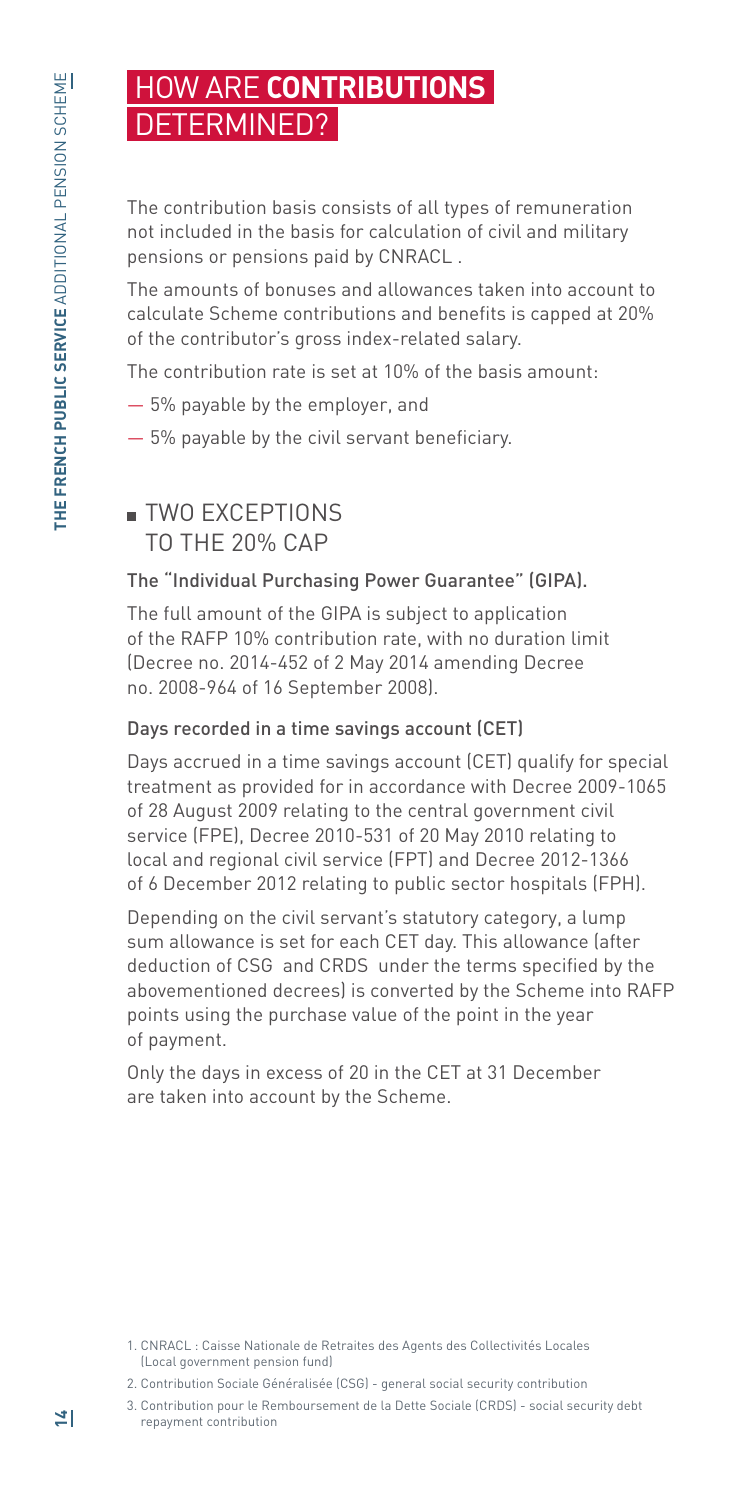## HOW ARE **CONTRIBUTIONS** DETERMINED?

The contribution basis consists of all types of remuneration not included in the basis for calculation of civil and military pensions or pensions paid by CNRACL .

The amounts of bonuses and allowances taken into account to calculate Scheme contributions and benefits is capped at 20% of the contributor's gross index-related salary.

The contribution rate is set at 10% of the basis amount:

- 5% payable by the employer, and
- 5% payable by the civil servant beneficiary.

## **TWO EXCEPTIONS** TO THE 20% CAP

#### The "Individual Purchasing Power Guarantee" (GIPA).

The full amount of the GIPA is subject to application of the RAFP 10% contribution rate, with no duration limit (Decree no. 2014-452 of 2 May 2014 amending Decree no. 2008-964 of 16 September 2008).

#### Days recorded in a time savings account (CET)

Days accrued in a time savings account (CET) qualify for special treatment as provided for in accordance with Decree 2009-1065 of 28 August 2009 relating to the central government civil service (FPE), Decree 2010-531 of 20 May 2010 relating to local and regional civil service (FPT) and Decree 2012-1366 of 6 December 2012 relating to public sector hospitals (FPH).

Depending on the civil servant's statutory category, a lump sum allowance is set for each CET day. This allowance (after deduction of CSG and CRDS under the terms specified by the abovementioned decrees) is converted by the Scheme into RAFP points using the purchase value of the point in the year of payment.

Only the days in excess of 20 in the CET at 31 December are taken into account by the Scheme.

3. Contribution pour le Remboursement de la Dette Sociale (CRDS) - social security debt repayment contribution

<sup>1.</sup> CNRACL : Caisse Nationale de Retraites des Agents des Collectivités Locales (Local government pension fund)

<sup>2.</sup> Contribution Sociale Généralisée (CSG) - general social security contribution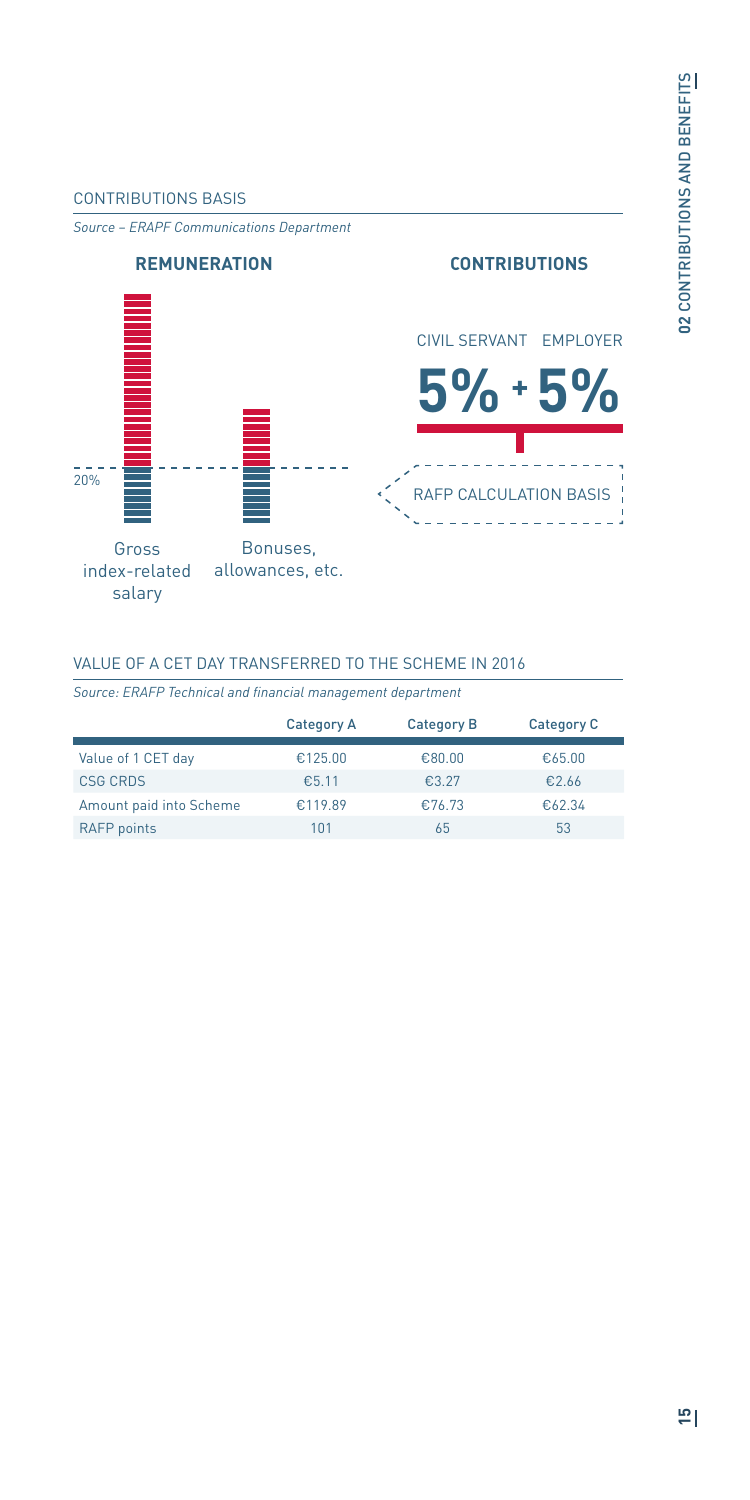#### CONTRIBUTIONS BASIS

*Source – ERAPF Communications Department*



#### VALUE OF A CET DAY TRANSFERRED TO THE SCHEME IN 2016

*Source: ERAFP Technical and financial management department*

|                         | Category A | <b>Category B</b> | <b>Category C</b> |
|-------------------------|------------|-------------------|-------------------|
| Value of 1 CET day      | €125.00    | €80.00            | €65.00            |
| <b>CSG CRDS</b>         | €5.11      | €3.27             | €2.66             |
| Amount paid into Scheme | €119.89    | €76.73            | €62.34            |
| <b>RAFP</b> points      | 101        | 65                | 53                |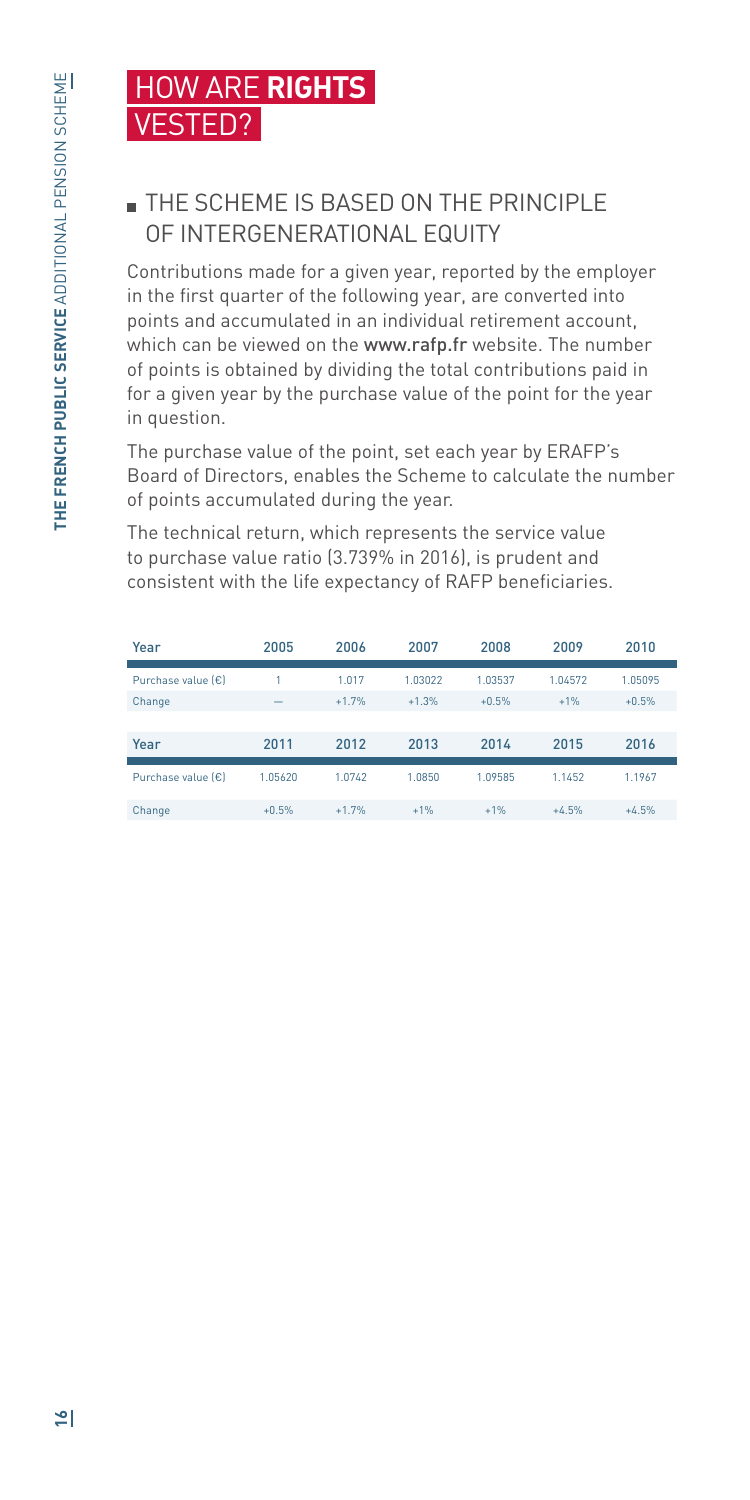## HOW ARE **RIGHTS**  VESTED?

## **THE SCHEME IS BASED ON THE PRINCIPLE** OF INTERGENERATIONAL EQUITY

Contributions made for a given year, reported by the employer in the first quarter of the following year, are converted into points and accumulated in an individual retirement account, which can be viewed on the www.rafp.fr website. The number of points is obtained by dividing the total contributions paid in for a given year by the purchase value of the point for the year in question.

The purchase value of the point, set each year by ERAFP's Board of Directors, enables the Scheme to calculate the number of points accumulated during the year.

The technical return, which represents the service value to purchase value ratio (3.739% in 2016), is prudent and consistent with the life expectancy of RAFP beneficiaries.

| Year               | 2005                     | 2006    | 2007    | 2008    | 2009    | 2010    |
|--------------------|--------------------------|---------|---------|---------|---------|---------|
|                    |                          |         |         |         |         |         |
| Purchase value (€) |                          | 1.017   | 1.03022 | 1.03537 | 1.04572 | 1.05095 |
| Change             | $\overline{\phantom{a}}$ | $+1.7%$ | $+1.3%$ | $+0.5%$ | $+1%$   | $+0.5%$ |
|                    |                          |         |         |         |         |         |
| Year               | 2011                     | 2012    | 2013    | 2014    | 2015    | 2016    |
|                    |                          |         |         |         |         |         |
| Purchase value (€) | 1.05620                  | 1.0742  | 1.0850  | 1.09585 | 1.1452  | 1.1967  |
|                    |                          |         |         |         |         |         |
| Change             | $+0.5%$                  | $+1.7%$ | $+1%$   | $+1%$   | $+4.5%$ | $+4.5%$ |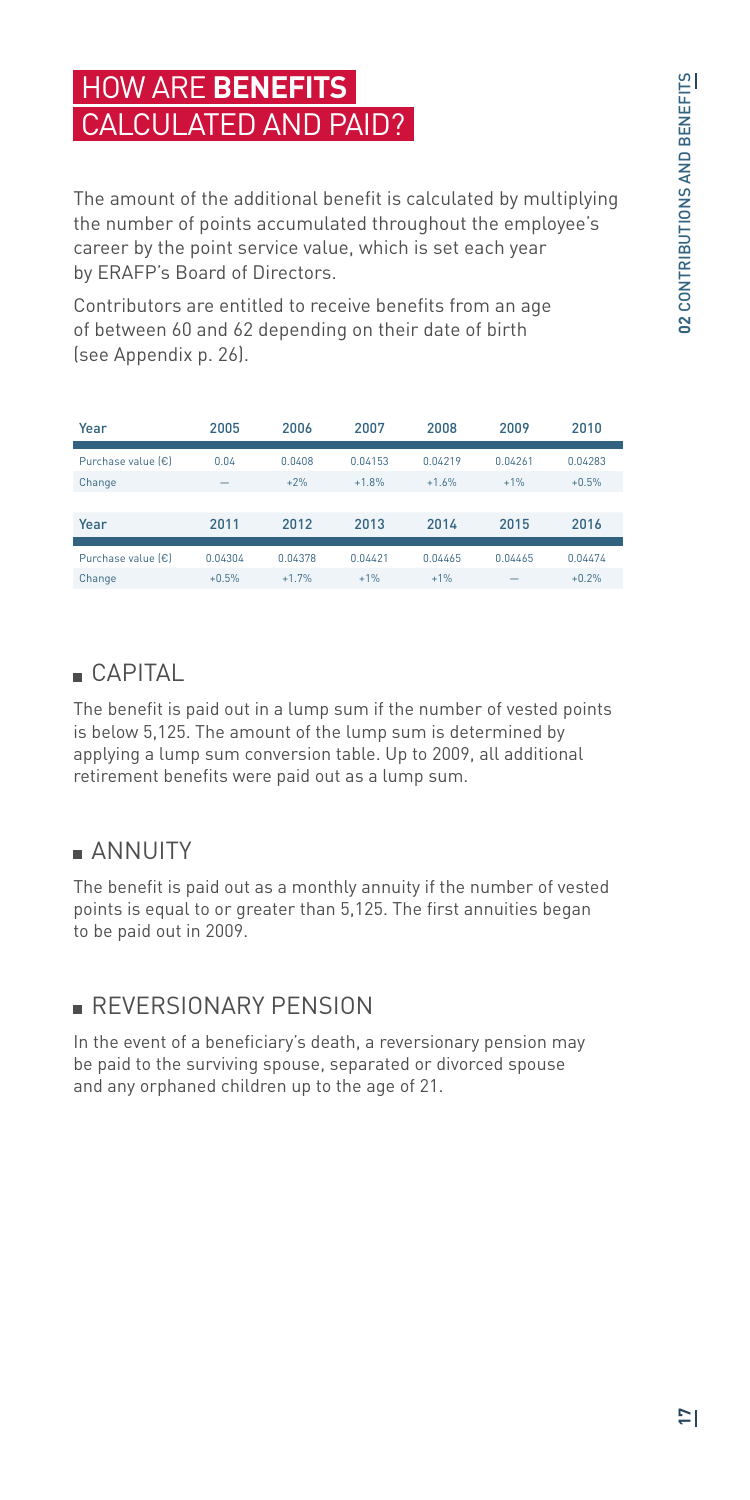## HOW ARE **BENEFITS**  CALCULATED AND PAID?

The amount of the additional benefit is calculated by multiplying the number of points accumulated throughout the employee's career by the point service value, which is set each year by ERAFP's Board of Directors.

Contributors are entitled to receive benefits from an age of between 60 and 62 depending on their date of birth (see Appendix p. 26).

| Year                                   | 2005                     | 2006    | 2007    | 2008    | 2009    | 2010    |
|----------------------------------------|--------------------------|---------|---------|---------|---------|---------|
|                                        |                          |         |         |         |         |         |
| Purchase value $\left \epsilon\right $ | 0.04                     | 0.0408  | 0.04153 | 0.04219 | 0.04261 | 0.04283 |
| Change                                 | $\overline{\phantom{a}}$ | $+2%$   | $+1.8%$ | $+1.6%$ | $+1%$   | $+0.5%$ |
|                                        |                          |         |         |         |         |         |
| Year                                   | 2011                     | 2012    | 2013    | 2014    | 2015    | 2016    |
|                                        |                          |         |         |         |         |         |
| Purchase value [€]                     | 0.04304                  | 0.04378 | 0.04421 | 0.04465 | 0.04465 | 0.04474 |
| Change                                 | $+0.5%$                  | $+1.7%$ | $+1%$   | $+1%$   | -       | $+0.2%$ |

## CAPITAL

The benefit is paid out in a lump sum if the number of vested points is below 5,125. The amount of the lump sum is determined by applying a lump sum conversion table. Up to 2009, all additional retirement benefits were paid out as a lump sum.

## **ANNUITY**

The benefit is paid out as a monthly annuity if the number of vested points is equal to or greater than 5,125. The first annuities began to be paid out in 2009.

## **REVERSIONARY PENSION**

In the event of a beneficiary's death, a reversionary pension may be paid to the surviving spouse, separated or divorced spouse and any orphaned children up to the age of 21.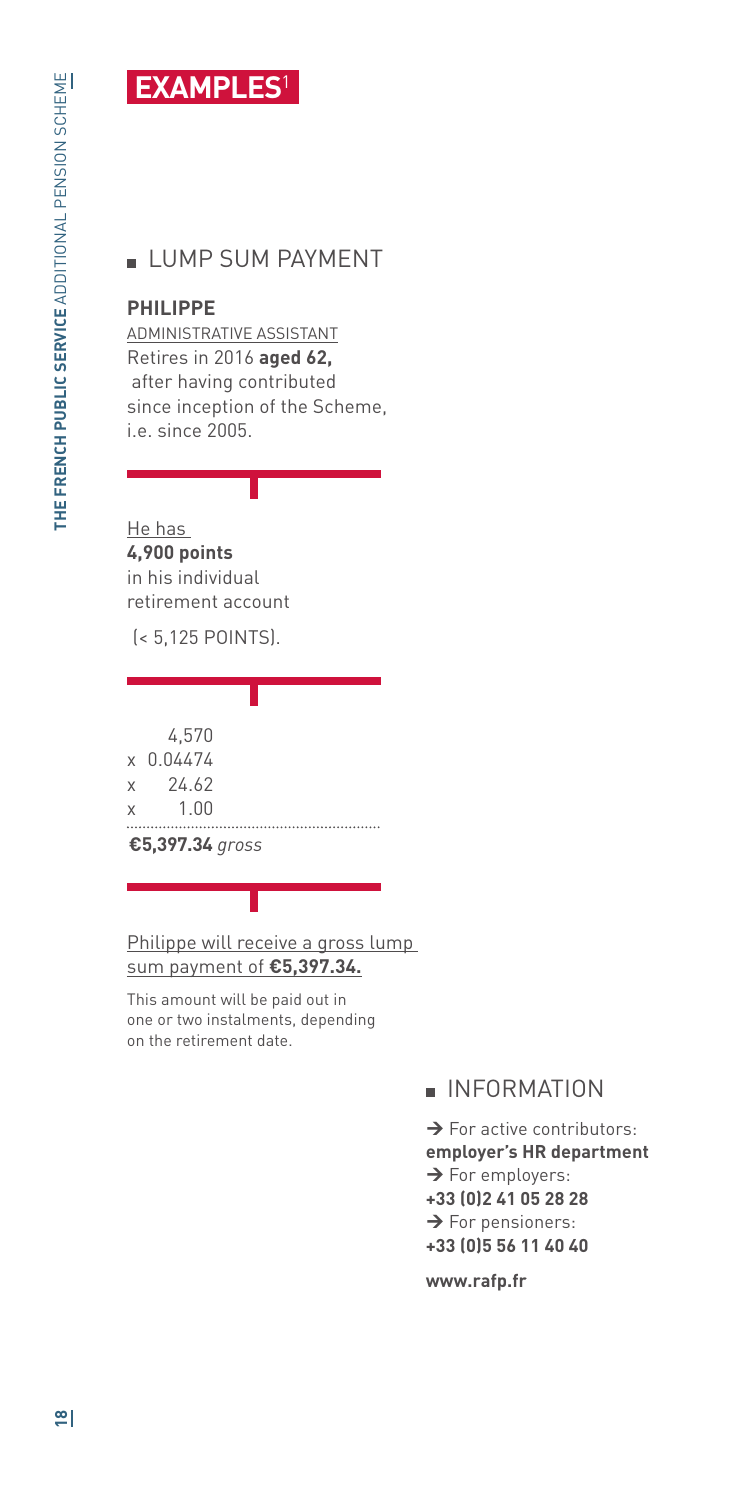## **EXAMPLES**<sup>1</sup>

## **LUMP SUM PAYMENT**

#### **PHILIPPE**

ADMINISTRATIVE ASSISTANT Retires in 2016 **aged 62,** after having contributed since inception of the Scheme, i.e. since 2005.

He has **4,900 points**  in his individual retirement account

(< 5,125 POINTS).

4,570

- x 0.04474
- x 24.62
- x 1.00

**€5,397.34** *gross*

Philippe will receive a gross lump sum payment of **€5,397.34.**

This amount will be paid out in one or two instalments, depending on the retirement date.

#### **INFORMATION**

 $\rightarrow$  For active contributors: **employer's HR department**  $\rightarrow$  For employers: **+33 (0)2 41 05 28 28**  $\rightarrow$  For pensioners: **+33 (0)5 56 11 40 40**

**www.rafp.fr**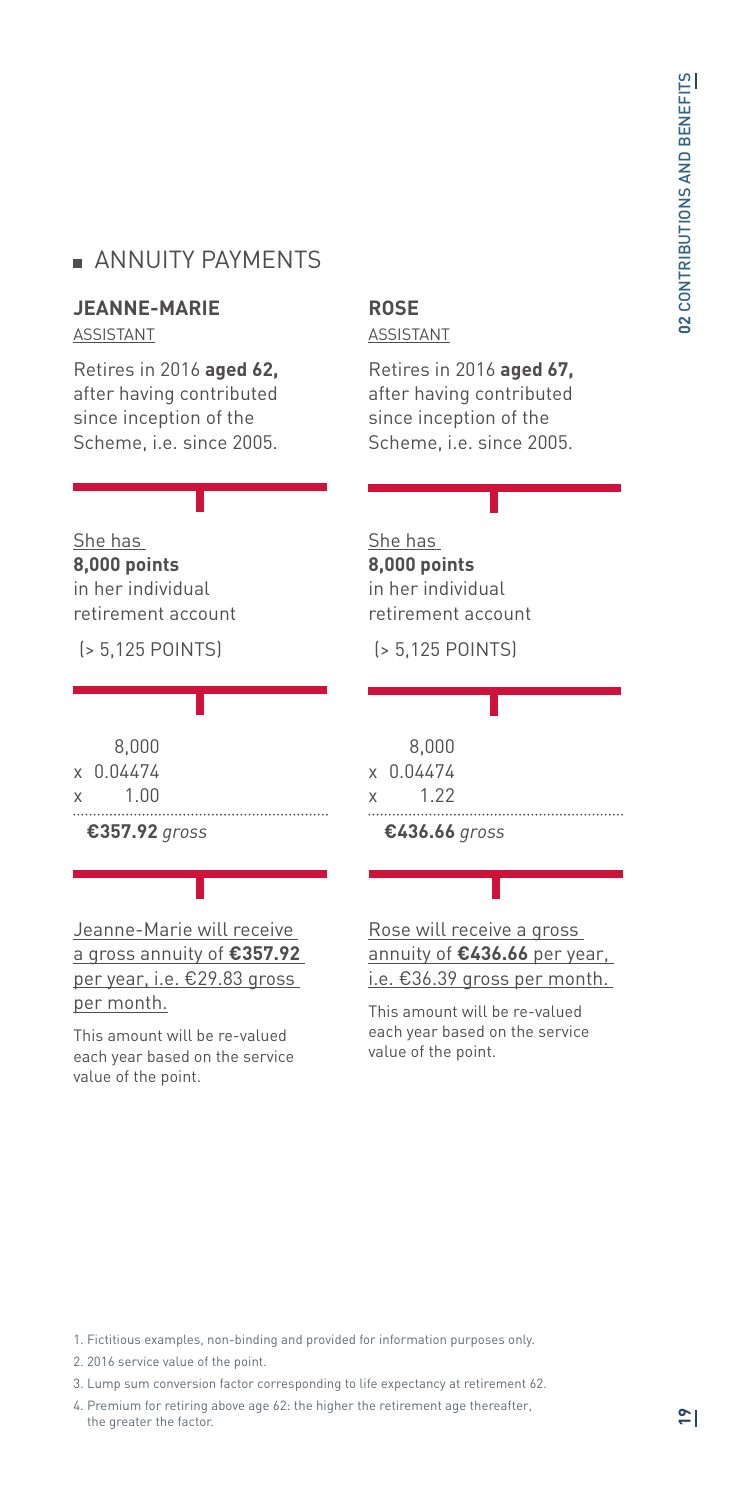#### **ANNUITY PAYMENTS**

#### **JEANNE-MARIE**

ASSISTANT

Retires in 2016 **aged 62,** after having contributed since inception of the Scheme, i.e. since 2005.

#### **ROSE** ASSISTANT

Retires in 2016 **aged 67,** after having contributed since inception of the Scheme, i.e. since 2005.

#### She has **8,000 points**

in her individual retirement account

(> 5,125 POINTS)

|   | 8.000<br>x 0.04474 |
|---|--------------------|
| X | 1.00               |
|   | €357.92 gross      |

#### Jeanne-Marie will receive a gross annuity of **€357.92** per year, i.e. €29.83 gross per month.

This amount will be re-valued each year based on the service value of the point.

#### She has **8,000 points**  in her individual retirement account

(> 5,125 POINTS)

|   | 8.000     |
|---|-----------|
|   | x 0.04474 |
| X | 1 22      |
|   |           |

 **€436.66** *gross*

Rose will receive a gross annuity of **€436.66** per year, i.e. €36.39 gross per month.

This amount will be re-valued each year based on the service value of the point.

1. Fictitious examples, non-binding and provided for information purposes only.

. . . . . . . . . . . . . . . .

- 2. 2016 service value of the point.
- 3. Lump sum conversion factor corresponding to life expectancy at retirement 62.
- 4. Premium for retiring above age 62: the higher the retirement age thereafter, the greater the factor.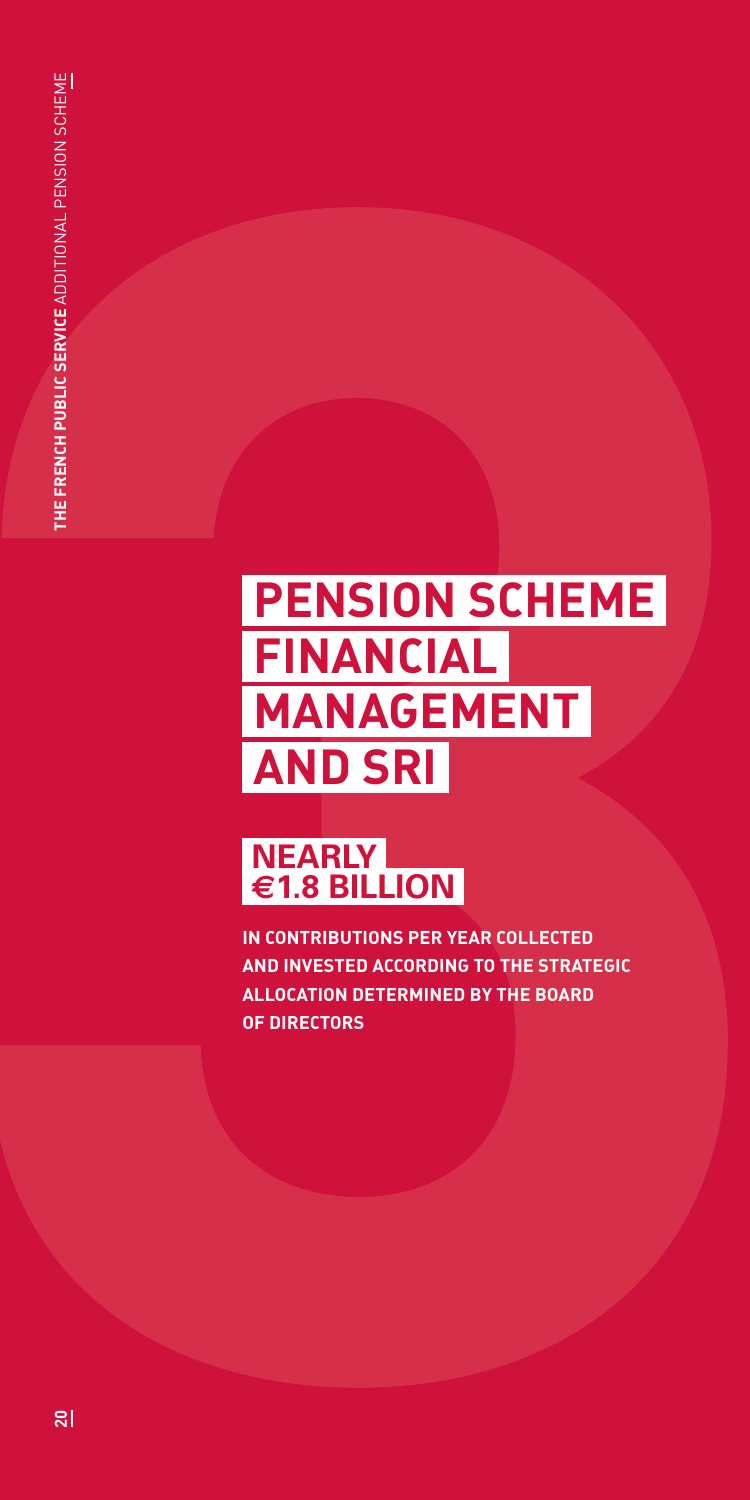## **PENSION SCHEME FINANCIAL MANAGEMENT AND SRI**

## **NEARLY €1.8 BILLION**

**IN CONTRIBUTIONS PER YEAR COLLECTED AND INVESTED ACCORDING TO THE STRATEGIC ALLOCATION DETERMINED BY THE BOARD OF DIRECTORS**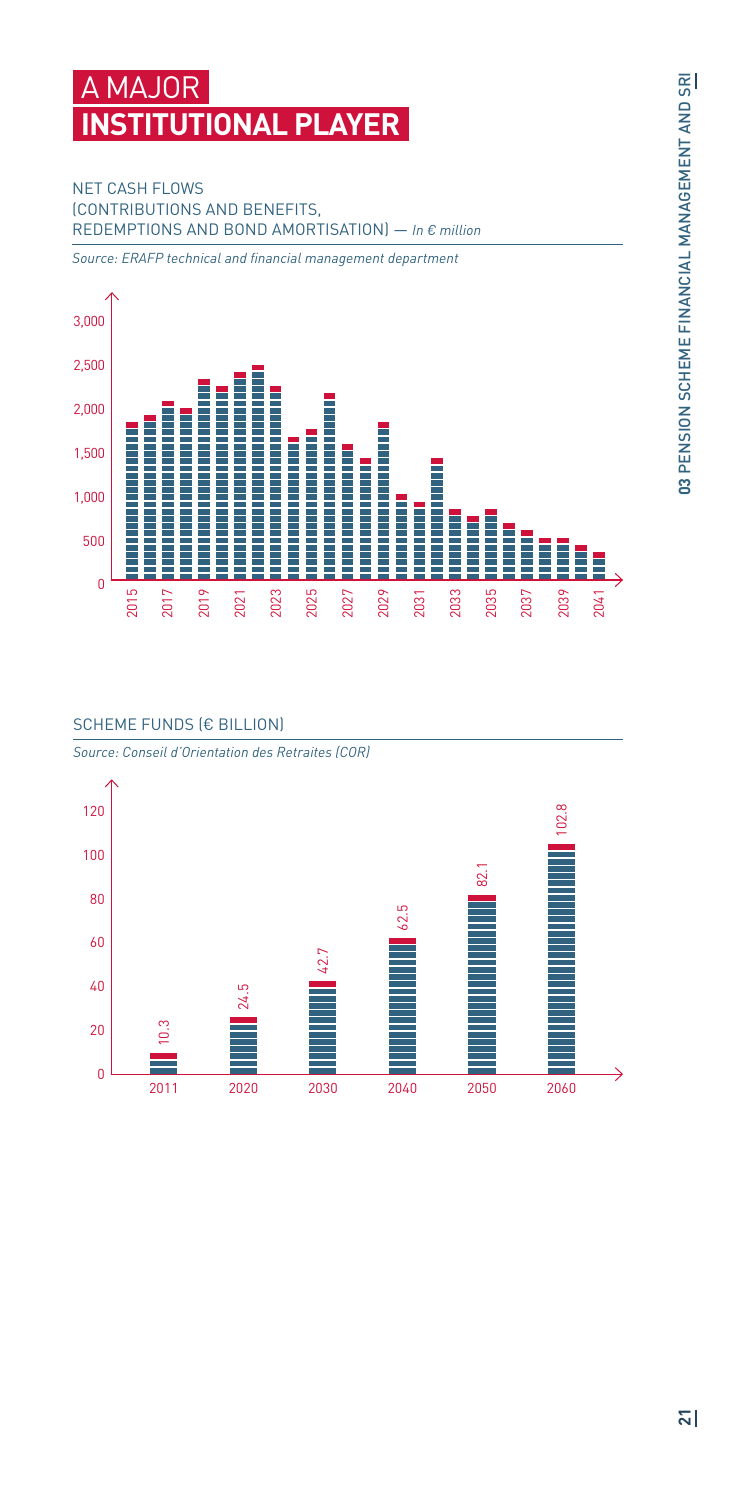## **MAJOR ITUTIONAL PLAYER**

#### NET CASH FLOWS (CONTRIBUTIONS AND BENEFITS, REDEMPTIONS AND BOND AMORTISATION) — *In € million*

*Source: ERAFP technical and financial management department*



#### SCHEME FUNDS (€ BILLION)

*Source: Conseil d'Orientation des Retraites (COR)*

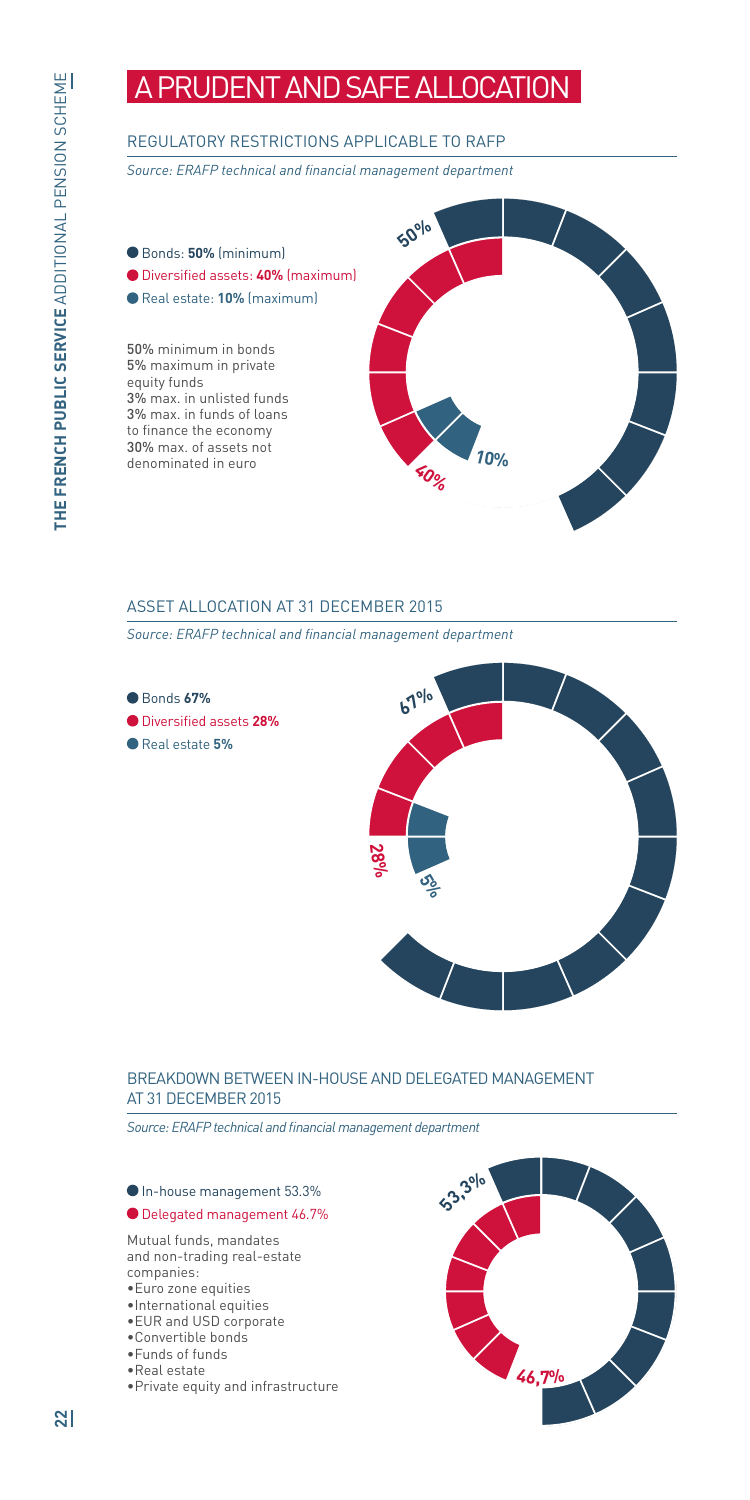## A PRUDENT AND SAFE ALLOCATION

#### REGULATORY RESTRICTIONS APPLICABLE TO RAFP

*Source: ERAFP technical and financial management department*

Bonds: **50%** (minimum) Diversified assets: **40%** (maximum) Real estate: **10%** (maximum) 50% minimum in bonds 5% maximum in private equity funds 3% max. in unlisted funds 3% max. in funds of loans to finance the economy 30% max. of assets not denominated in euro **<sup>4</sup>0% 10% <sup>5</sup>0%**

#### ASSET ALLOCATION AT 31 DECEMBER 2015

*Source: ERAFP technical and financial management department*



Diversified assets **28%**

Real estate **5%**



#### BREAKDOWN BETWEEN IN-HOUSE AND DELEGATED MANAGEMENT AT 31 DECEMBER 2015

*Source: ERAFP technical and financial management department*

In-house management 53.3%

#### Delegated management 46.7%

Mutual funds, mandates and non-trading real-estate companies:

- •Euro zone equities
- •International equities
- •EUR and USD corporate
- •Convertible bonds
- •Funds of funds
- •Real estate
- •Private equity and infrastructure

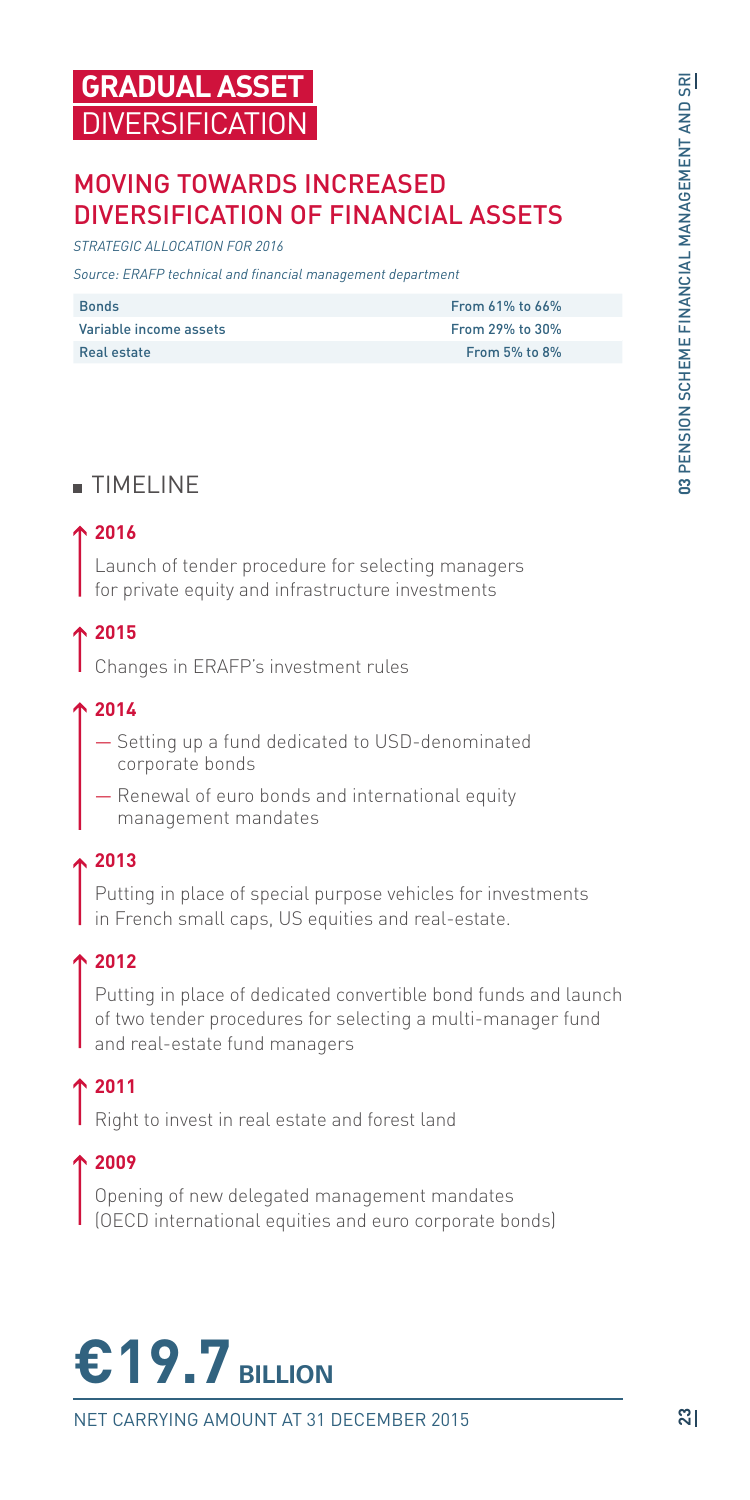## MOVING TOWARDS INCREASED DIVERSIFICATION OF FINANCIAL ASSETS

*STRATEGIC ALLOCATION FOR 2016*

*Source: ERAFP technical and financial management department*

| <b>Bonds</b>           | From $61\%$ to $66\%$ |
|------------------------|-----------------------|
| Variable income assets | From 29% to 30%       |
| Real estate            | From $5%$ to $8%$     |

## TIMELINE

#### **2016**

Launch of tender procedure for selecting managers for private equity and infrastructure investments

## **2015**

Changes in ERAFP's investment rules

#### **2014**

- Setting up a fund dedicated to USD-denominated corporate bonds
- Renewal of euro bonds and international equity management mandates

#### **2013**

Putting in place of special purpose vehicles for investments in French small caps, US equities and real-estate.

#### **2012**

Putting in place of dedicated convertible bond funds and launch of two tender procedures for selecting a multi-manager fund and real-estate fund managers

## **2011**

Right to invest in real estate and forest land

#### **2009**

Opening of new delegated management mandates (OECD international equities and euro corporate bonds)



NET CARRYING AMOUNT AT 31 DECEMBER 2015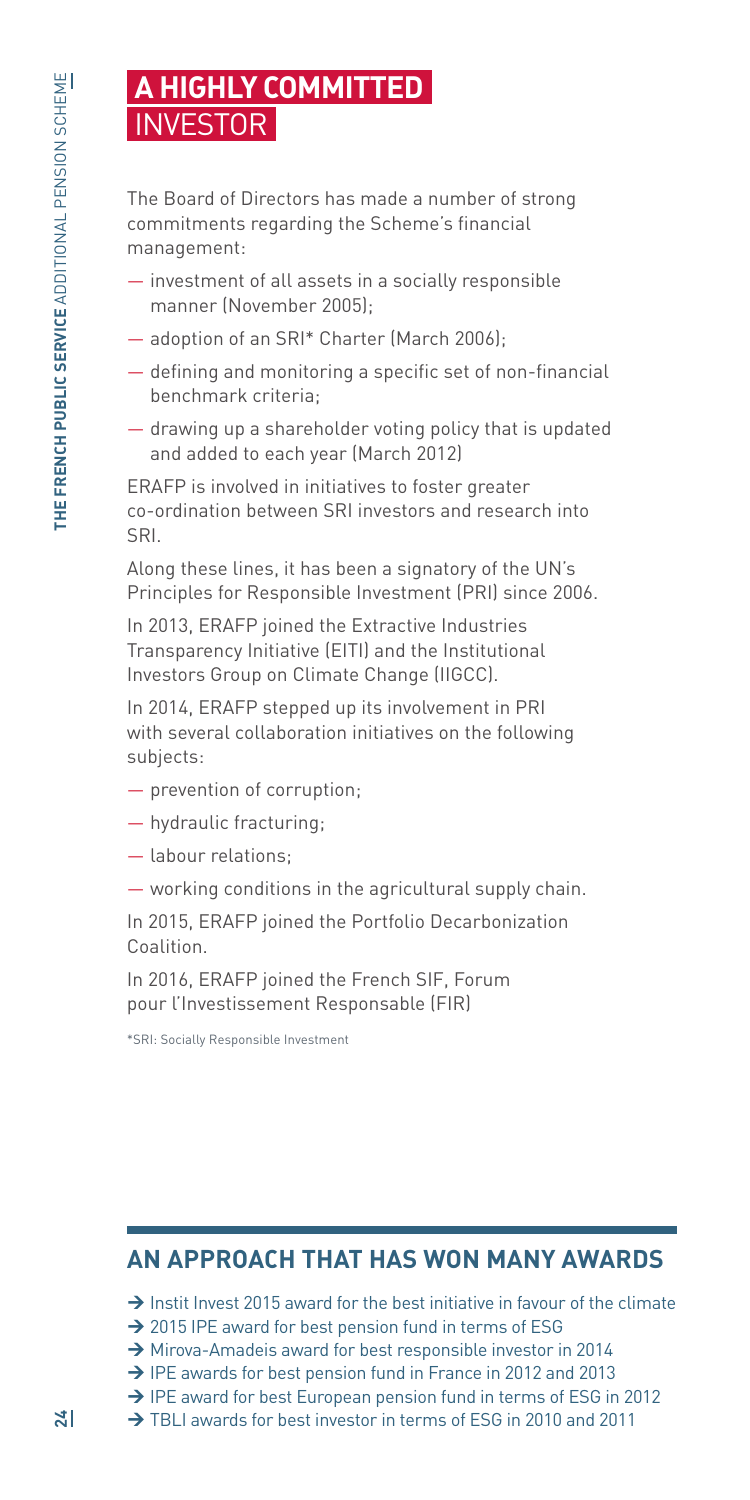## **A HIGHLY COMMITTED**  INVESTOR

The Board of Directors has made a number of strong commitments regarding the Scheme's financial management:

- investment of all assets in a socially responsible manner (November 2005);
- adoption of an SRI\* Charter (March 2006);
- defining and monitoring a specific set of non-financial benchmark criteria;
- drawing up a shareholder voting policy that is updated and added to each year (March 2012)

ERAFP is involved in initiatives to foster greater co-ordination between SRI investors and research into SRI.

Along these lines, it has been a signatory of the UN's Principles for Responsible Investment (PRI) since 2006.

In 2013, ERAFP joined the Extractive Industries Transparency Initiative (EITI) and the Institutional Investors Group on Climate Change (IIGCC).

In 2014, ERAFP stepped up its involvement in PRI with several collaboration initiatives on the following subjects:

- prevention of corruption;
- hydraulic fracturing;
- labour relations;
- working conditions in the agricultural supply chain.

In 2015, ERAFP joined the Portfolio Decarbonization Coalition.

In 2016, ERAFP joined the French SIF, Forum pour l'Investissement Responsable (FIR)

\*SRI: Socially Responsible Investment

## **AN APPROACH THAT HAS WON MANY AWARDS**

 $\rightarrow$  Instit Invest 2015 award for the best initiative in favour of the climate

- $\rightarrow$  2015 IPE award for best pension fund in terms of ESG
- $\rightarrow$  Mirova-Amadeis award for best responsible investor in 2014
- $\rightarrow$  IPE awards for best pension fund in France in 2012 and 2013
- → IPE award for best European pension fund in terms of ESG in 2012
- → TBLI awards for best investor in terms of ESG in 2010 and 2011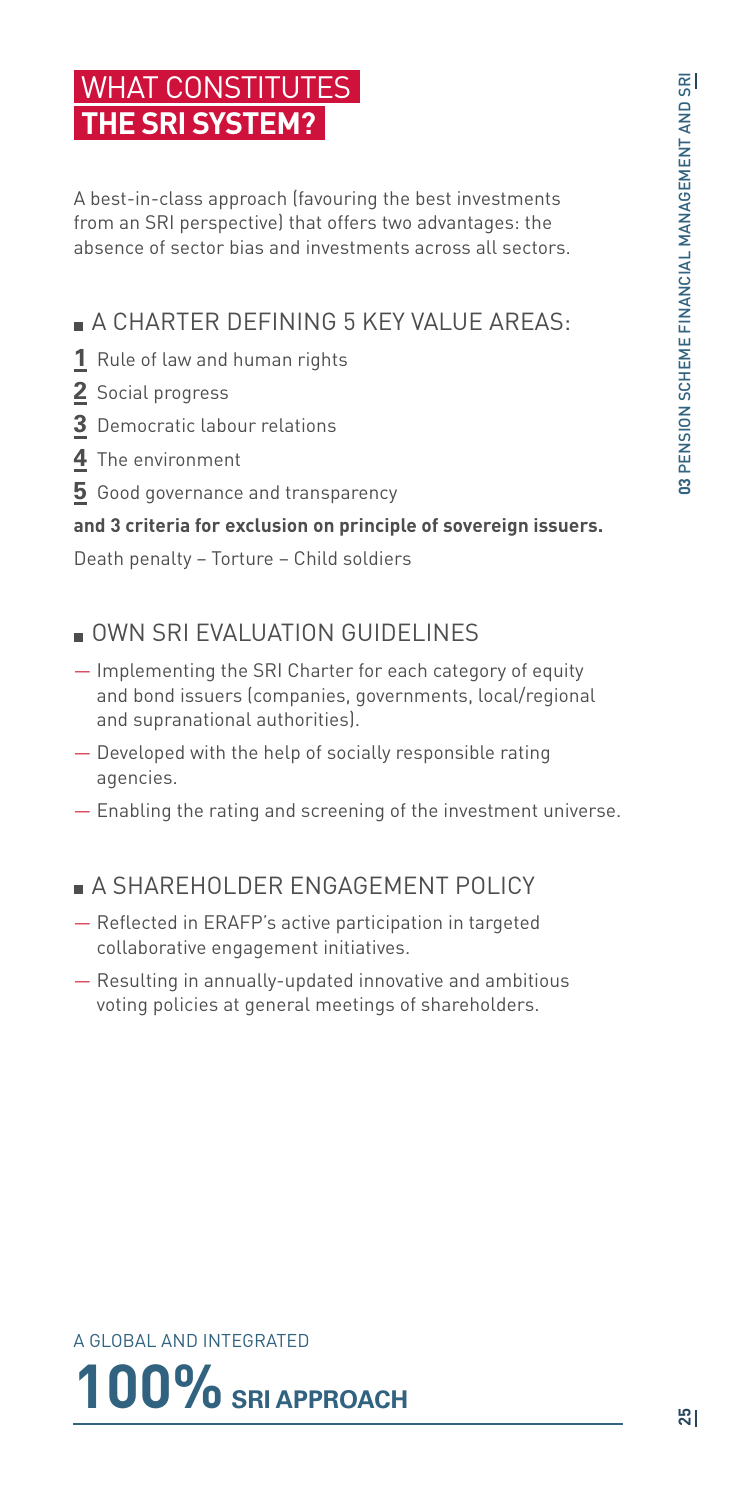## WHAT CONSTITUTES **THE SRI SYSTEM?**

A best-in-class approach (favouring the best investments from an SRI perspective) that offers two advantages: the absence of sector bias and investments across all sectors.

## A CHARTER DEFINING 5 KEY VALUE AREAS:

- **1** Rule of law and human rights
- **2** Social progress
- **3** Democratic labour relations
- **4** The environment
- **5** Good governance and transparency

#### **and 3 criteria for exclusion on principle of sovereign issuers.**

Death penalty – Torture – Child soldiers

## OWN SRI EVALUATION GUIDELINES

- Implementing the SRI Charter for each category of equity and bond issuers (companies, governments, local/regional and supranational authorities).
- Developed with the help of socially responsible rating agencies.
- Enabling the rating and screening of the investment universe.

## **A SHAREHOLDER ENGAGEMENT POLICY**

- Reflected in ERAFP's active participation in targeted collaborative engagement initiatives.
- Resulting in annually-updated innovative and ambitious voting policies at general meetings of shareholders.

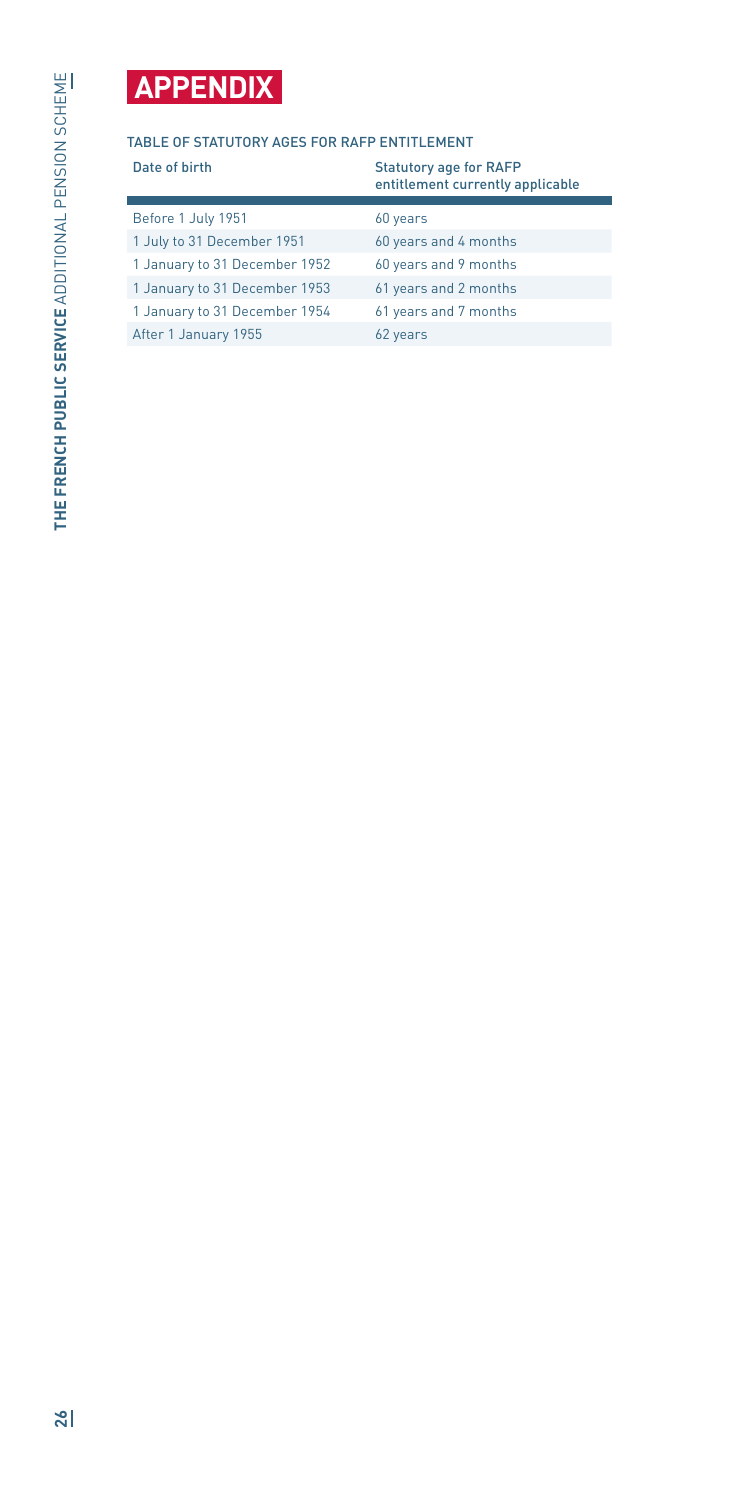## **APPENDIX**

#### TABLE OF STATUTORY AGES FOR RAFP ENTITLEMENT

| Date of birth                 | <b>Statutory age for RAFP</b><br>entitlement currently applicable |
|-------------------------------|-------------------------------------------------------------------|
| Before 1 July 1951            | 60 years                                                          |
| 1 July to 31 December 1951    | 60 years and 4 months                                             |
| 1 January to 31 December 1952 | 60 years and 9 months                                             |
| 1 January to 31 December 1953 | 61 years and 2 months                                             |
| 1 January to 31 December 1954 | 61 years and 7 months                                             |
| After 1 January 1955          | 62 years                                                          |